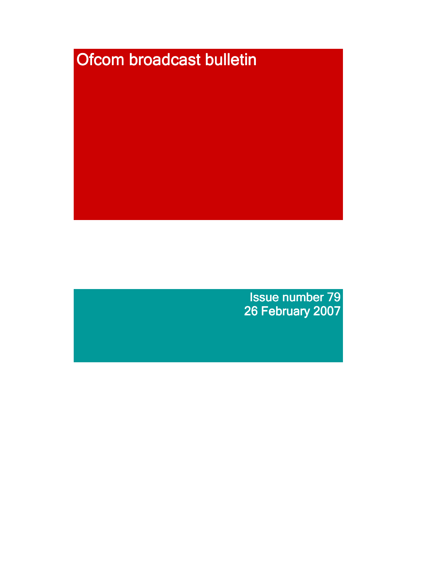

Issue number 79 26 February 2007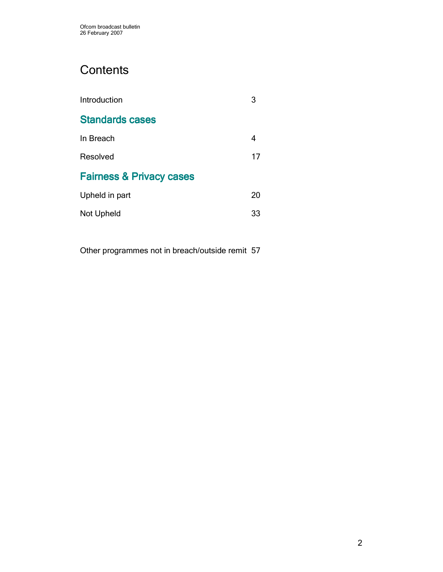# **Contents**

| Introduction                        |    |
|-------------------------------------|----|
| <b>Standards cases</b>              |    |
| In Breach                           | 4  |
| Resolved                            | 17 |
| <b>Fairness &amp; Privacy cases</b> |    |
| Upheld in part                      | 20 |
| Not Upheld                          | 33 |

Other programmes not in breach/outside remit 57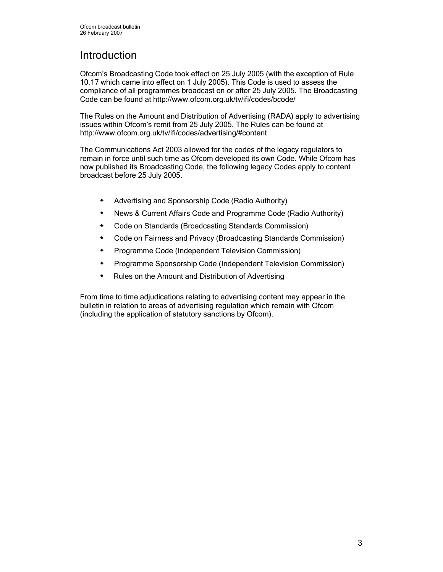# Introduction

Ofcom's Broadcasting Code took effect on 25 July 2005 (with the exception of Rule 10.17 which came into effect on 1 July 2005). This Code is used to assess the compliance of all programmes broadcast on or after 25 July 2005. The Broadcasting Code can be found at http://www.ofcom.org.uk/tv/ifi/codes/bcode/

The Rules on the Amount and Distribution of Advertising (RADA) apply to advertising issues within Ofcom's remit from 25 July 2005. The Rules can be found at http://www.ofcom.org.uk/tv/ifi/codes/advertising/#content

The Communications Act 2003 allowed for the codes of the legacy regulators to remain in force until such time as Ofcom developed its own Code. While Ofcom has now published its Broadcasting Code, the following legacy Codes apply to content broadcast before 25 July 2005.

- Advertising and Sponsorship Code (Radio Authority)
- News & Current Affairs Code and Programme Code (Radio Authority)
- Code on Standards (Broadcasting Standards Commission)
- Code on Fairness and Privacy (Broadcasting Standards Commission)
- **\*** Programme Code (Independent Television Commission)
- Programme Sponsorship Code (Independent Television Commission)
- **\*** Rules on the Amount and Distribution of Advertising

From time to time adjudications relating to advertising content may appear in the bulletin in relation to areas of advertising regulation which remain with Ofcom (including the application of statutory sanctions by Ofcom).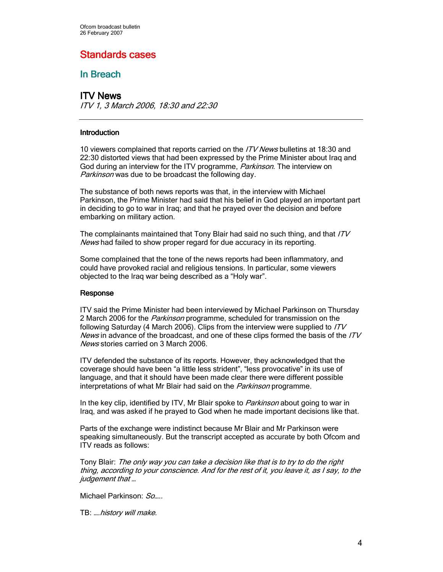# Standards cases

# In Breach

# ITV News

ITV 1, 3 March 2006, 18:30 and 22:30

### **Introduction**

10 viewers complained that reports carried on the *ITV News* bulletins at 18:30 and 22:30 distorted views that had been expressed by the Prime Minister about Iraq and God during an interview for the ITV programme, *Parkinson*. The interview on Parkinson was due to be broadcast the following day.

The substance of both news reports was that, in the interview with Michael Parkinson, the Prime Minister had said that his belief in God played an important part in deciding to go to war in Iraq; and that he prayed over the decision and before embarking on military action.

The complainants maintained that Tony Blair had said no such thing, and that ITV News had failed to show proper regard for due accuracy in its reporting.

Some complained that the tone of the news reports had been inflammatory, and could have provoked racial and religious tensions. In particular, some viewers objected to the Iraq war being described as a "Holy war".

### Response

ITV said the Prime Minister had been interviewed by Michael Parkinson on Thursday 2 March 2006 for the *Parkinson* programme, scheduled for transmission on the following Saturday (4 March 2006). Clips from the interview were supplied to *ITV* News in advance of the broadcast, and one of these clips formed the basis of the  $ITV$ News stories carried on 3 March 2006.

ITV defended the substance of its reports. However, they acknowledged that the coverage should have been "a little less strident", "less provocative" in its use of language, and that it should have been made clear there were different possible interpretations of what Mr Blair had said on the *Parkinson* programme.

In the key clip, identified by ITV, Mr Blair spoke to *Parkinson* about going to war in Iraq, and was asked if he prayed to God when he made important decisions like that.

Parts of the exchange were indistinct because Mr Blair and Mr Parkinson were speaking simultaneously. But the transcript accepted as accurate by both Ofcom and ITV reads as follows:

Tony Blair: The only way you can take a decision like that is to try to do the right thing, according to your conscience. And for the rest of it, you leave it, as I say, to the judgement that ...

Michael Parkinson: So....

TB: ….history will make.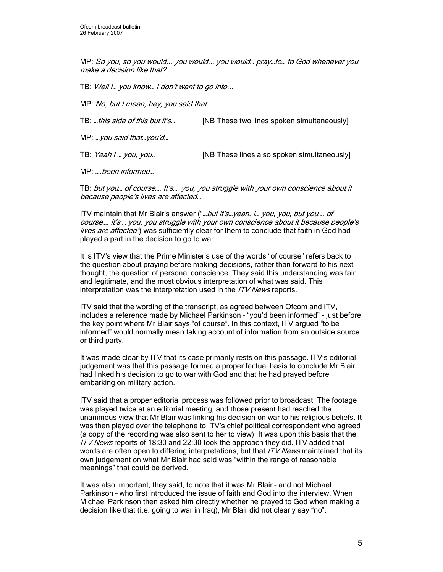MP: So you, so you would... you would... you would… pray…to… to God whenever you make a decision like that?

TB: Well I… you know… I don't want to go into...

MP: No, but I mean, hey, you said that…

TB: ...this side of this but it's... [NB These two lines spoken simultaneously]

MP: …you said that…you'd…

TB: Yeah I ... you, you... [NB These lines also spoken simultaneously]

MP: ….been informed…

TB: but you… of course…. It's…. you, you struggle with your own conscience about it because people's lives are affected….

ITV maintain that Mr Blair's answer ("...but it's...yeah, I... you, you, but you.... of course…. it's … you, you struggle with your own conscience about it because people's lives are affected") was sufficiently clear for them to conclude that faith in God had played a part in the decision to go to war.

It is ITV's view that the Prime Minister's use of the words "of course" refers back to the question about praying before making decisions, rather than forward to his next thought, the question of personal conscience. They said this understanding was fair and legitimate, and the most obvious interpretation of what was said. This interpretation was the interpretation used in the ITV News reports.

ITV said that the wording of the transcript, as agreed between Ofcom and ITV, includes a reference made by Michael Parkinson – "you'd been informed" - just before the key point where Mr Blair says "of course". In this context, ITV argued "to be informed" would normally mean taking account of information from an outside source or third party.

It was made clear by ITV that its case primarily rests on this passage. ITV's editorial judgement was that this passage formed a proper factual basis to conclude Mr Blair had linked his decision to go to war with God and that he had prayed before embarking on military action.

ITV said that a proper editorial process was followed prior to broadcast. The footage was played twice at an editorial meeting, and those present had reached the unanimous view that Mr Blair was linking his decision on war to his religious beliefs. It was then played over the telephone to ITV's chief political correspondent who agreed (a copy of the recording was also sent to her to view). It was upon this basis that the ITV News reports of 18:30 and 22:30 took the approach they did. ITV added that words are often open to differing interpretations, but that *ITV News* maintained that its own judgement on what Mr Blair had said was "within the range of reasonable meanings" that could be derived.

It was also important, they said, to note that it was Mr Blair – and not Michael Parkinson – who first introduced the issue of faith and God into the interview. When Michael Parkinson then asked him directly whether he prayed to God when making a decision like that (i.e. going to war in Iraq), Mr Blair did not clearly say "no".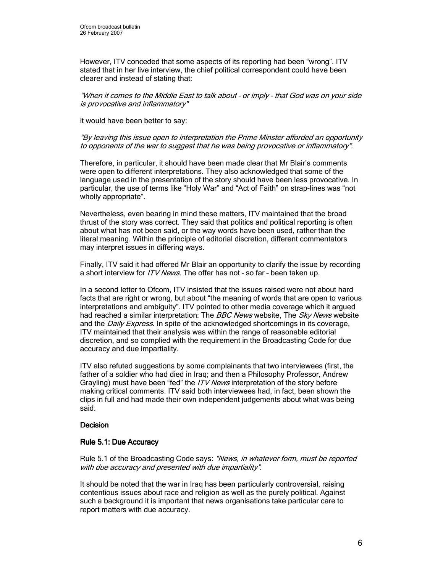However, ITV conceded that some aspects of its reporting had been "wrong". ITV stated that in her live interview, the chief political correspondent could have been clearer and instead of stating that:

"When it comes to the Middle East to talk about – or imply – that God was on your side is provocative and inflammatory"

it would have been better to say:

### "By leaving this issue open to interpretation the Prime Minster afforded an opportunity to opponents of the war to suggest that he was being provocative or inflammatory".

Therefore, in particular, it should have been made clear that Mr Blair's comments were open to different interpretations. They also acknowledged that some of the language used in the presentation of the story should have been less provocative. In particular, the use of terms like "Holy War" and "Act of Faith" on strap-lines was "not wholly appropriate".

Nevertheless, even bearing in mind these matters, ITV maintained that the broad thrust of the story was correct. They said that politics and political reporting is often about what has not been said, or the way words have been used, rather than the literal meaning. Within the principle of editorial discretion, different commentators may interpret issues in differing ways.

Finally, ITV said it had offered Mr Blair an opportunity to clarify the issue by recording a short interview for *ITV News*. The offer has not - so far - been taken up.

In a second letter to Ofcom, ITV insisted that the issues raised were not about hard facts that are right or wrong, but about "the meaning of words that are open to various interpretations and ambiguity". ITV pointed to other media coverage which it argued had reached a similar interpretation: The BBC News website, The Sky News website and the *Daily Express*. In spite of the acknowledged shortcomings in its coverage, ITV maintained that their analysis was within the range of reasonable editorial discretion, and so complied with the requirement in the Broadcasting Code for due accuracy and due impartiality.

ITV also refuted suggestions by some complainants that two interviewees (first, the father of a soldier who had died in Iraq; and then a Philosophy Professor, Andrew Grayling) must have been "fed" the *ITV News* interpretation of the story before making critical comments. ITV said both interviewees had, in fact, been shown the clips in full and had made their own independent judgements about what was being said.

## Decision

### Rule 5.1: Due Accuracy

Rule 5.1 of the Broadcasting Code says: "News, in whatever form, must be reported with due accuracy and presented with due impartiality".

It should be noted that the war in Iraq has been particularly controversial, raising contentious issues about race and religion as well as the purely political. Against such a background it is important that news organisations take particular care to report matters with due accuracy.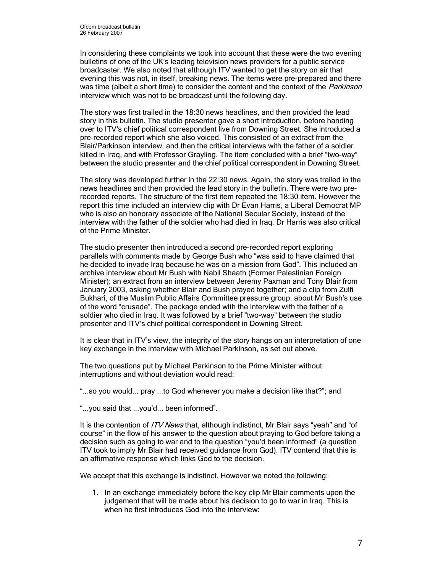In considering these complaints we took into account that these were the two evening bulletins of one of the UK's leading television news providers for a public service broadcaster. We also noted that although ITV wanted to get the story on air that evening this was not, in itself, breaking news. The items were pre-prepared and there was time (albeit a short time) to consider the content and the context of the Parkinson interview which was not to be broadcast until the following day.

The story was first trailed in the 18:30 news headlines, and then provided the lead story in this bulletin. The studio presenter gave a short introduction, before handing over to ITV's chief political correspondent live from Downing Street. She introduced a pre-recorded report which she also voiced. This consisted of an extract from the Blair/Parkinson interview, and then the critical interviews with the father of a soldier killed in Iraq, and with Professor Grayling. The item concluded with a brief "two-way" between the studio presenter and the chief political correspondent in Downing Street.

The story was developed further in the 22:30 news. Again, the story was trailed in the news headlines and then provided the lead story in the bulletin. There were two prerecorded reports. The structure of the first item repeated the 18:30 item. However the report this time included an interview clip with Dr Evan Harris, a Liberal Democrat MP who is also an honorary associate of the National Secular Society, instead of the interview with the father of the soldier who had died in Iraq. Dr Harris was also critical of the Prime Minister.

The studio presenter then introduced a second pre-recorded report exploring parallels with comments made by George Bush who "was said to have claimed that he decided to invade Iraq because he was on a mission from God". This included an archive interview about Mr Bush with Nabil Shaath (Former Palestinian Foreign Minister); an extract from an interview between Jeremy Paxman and Tony Blair from January 2003, asking whether Blair and Bush prayed together; and a clip from Zulfi Bukhari, of the Muslim Public Affairs Committee pressure group, about Mr Bush's use of the word "crusade". The package ended with the interview with the father of a soldier who died in Iraq. It was followed by a brief "two-way" between the studio presenter and ITV's chief political correspondent in Downing Street.

It is clear that in ITV's view, the integrity of the story hangs on an interpretation of one key exchange in the interview with Michael Parkinson, as set out above.

The two questions put by Michael Parkinson to the Prime Minister without interruptions and without deviation would read:

"...so you would... pray ...to God whenever you make a decision like that?"; and

"...you said that ...you'd... been informed".

It is the contention of *ITV News* that, although indistinct, Mr Blair says "yeah" and "of course" in the flow of his answer to the question about praying to God before taking a decision such as going to war and to the question "you'd been informed" (a question ITV took to imply Mr Blair had received guidance from God). ITV contend that this is an affirmative response which links God to the decision.

We accept that this exchange is indistinct. However we noted the following:

1. In an exchange immediately before the key clip Mr Blair comments upon the judgement that will be made about his decision to go to war in Iraq. This is when he first introduces God into the interview: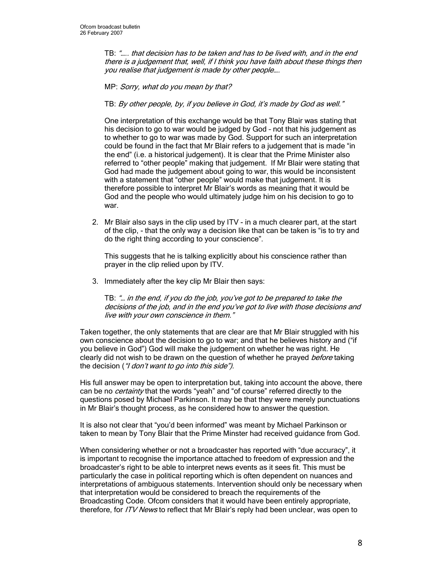TB: "….. that decision has to be taken and has to be lived with, and in the end there is a judgement that, well, if I think you have faith about these things then you realise that judgement is made by other people….

MP: Sorry, what do you mean by that?

TB: By other people, by, if you believe in God, it's made by God as well."

One interpretation of this exchange would be that Tony Blair was stating that his decision to go to war would be judged by God – not that his judgement as to whether to go to war was made by God. Support for such an interpretation could be found in the fact that Mr Blair refers to a judgement that is made "in the end" (i.e. a historical judgement). It is clear that the Prime Minister also referred to "other people" making that judgement. If Mr Blair were stating that God had made the judgement about going to war, this would be inconsistent with a statement that "other people" would make that judgement. It is therefore possible to interpret Mr Blair's words as meaning that it would be God and the people who would ultimately judge him on his decision to go to war.

2. Mr Blair also says in the clip used by ITV - in a much clearer part, at the start of the clip, - that the only way a decision like that can be taken is "is to try and do the right thing according to your conscience".

This suggests that he is talking explicitly about his conscience rather than prayer in the clip relied upon by ITV.

3. Immediately after the key clip Mr Blair then says:

TB: "… in the end, if you do the job, you've got to be prepared to take the decisions of the job, and in the end you've got to live with those decisions and live with your own conscience in them."

Taken together, the only statements that are clear are that Mr Blair struggled with his own conscience about the decision to go to war; and that he believes history and ("if you believe in God") God will make the judgement on whether he was right. He clearly did not wish to be drawn on the question of whether he prayed before taking the decision ("I don't want to go into this side").

His full answer may be open to interpretation but, taking into account the above, there can be no *certainty* that the words "yeah" and "of course" referred directly to the questions posed by Michael Parkinson. It may be that they were merely punctuations in Mr Blair's thought process, as he considered how to answer the question.

It is also not clear that "you'd been informed" was meant by Michael Parkinson or taken to mean by Tony Blair that the Prime Minster had received guidance from God.

When considering whether or not a broadcaster has reported with "due accuracy", it is important to recognise the importance attached to freedom of expression and the broadcaster's right to be able to interpret news events as it sees fit. This must be particularly the case in political reporting which is often dependent on nuances and interpretations of ambiguous statements. Intervention should only be necessary when that interpretation would be considered to breach the requirements of the Broadcasting Code. Ofcom considers that it would have been entirely appropriate, therefore, for *ITV News* to reflect that Mr Blair's reply had been unclear, was open to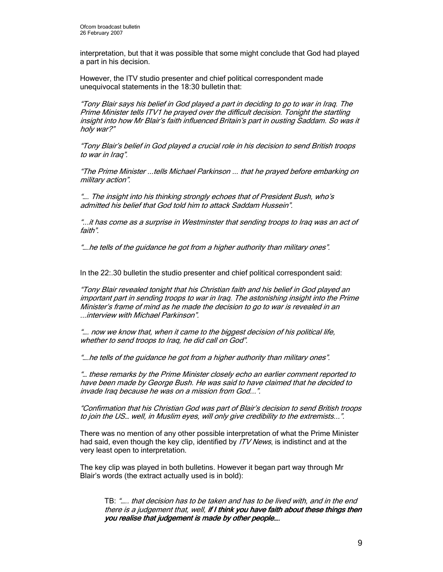interpretation, but that it was possible that some might conclude that God had played a part in his decision.

However, the ITV studio presenter and chief political correspondent made unequivocal statements in the 18:30 bulletin that:

"Tony Blair says his belief in God played a part in deciding to go to war in Iraq. The Prime Minister tells ITV1 he prayed over the difficult decision. Tonight the startling insight into how Mr Blair's faith influenced Britain's part in ousting Saddam. So was it holy war?"

"Tony Blair's belief in God played a crucial role in his decision to send British troops to war in Iraq".

"The Prime Minister ...tells Michael Parkinson ... that he prayed before embarking on military action".

"…. The insight into his thinking strongly echoes that of President Bush, who's admitted his belief that God told him to attack Saddam Hussein".

"...it has come as a surprise in Westminster that sending troops to Iraq was an act of faith".

"….he tells of the guidance he got from a higher authority than military ones".

In the 22:.30 bulletin the studio presenter and chief political correspondent said:

"Tony Blair revealed tonight that his Christian faith and his belief in God played an important part in sending troops to war in Iraq. The astonishing insight into the Prime Minister's frame of mind as he made the decision to go to war is revealed in an ...interview with Michael Parkinson".

"…. now we know that, when it came to the biggest decision of his political life, whether to send troops to Iraq, he did call on God".

"….he tells of the guidance he got from a higher authority than military ones".

"… these remarks by the Prime Minister closely echo an earlier comment reported to have been made by George Bush. He was said to have claimed that he decided to invade Iraq because he was on a mission from God...".

"Confirmation that his Christian God was part of Blair's decision to send British troops to join the US… well, in Muslim eyes, will only give credibility to the extremists...".

There was no mention of any other possible interpretation of what the Prime Minister had said, even though the key clip, identified by *ITV News*, is indistinct and at the very least open to interpretation.

The key clip was played in both bulletins. However it began part way through Mr Blair's words (the extract actually used is in bold):

TB: "….. that decision has to be taken and has to be lived with, and in the end there is a judgement that, well, if I think you have faith about these things then you realise that judgement is made by other people....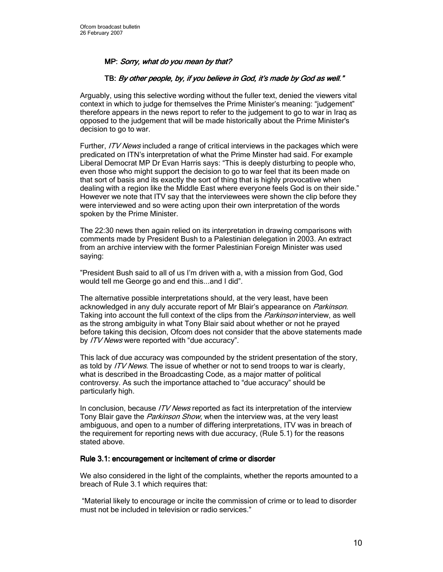# MP: Sorry, what do you mean by that?

## TB: By other people, by, if you believe in God, it's made by God as well."

Arguably, using this selective wording without the fuller text, denied the viewers vital context in which to judge for themselves the Prime Minister's meaning: "judgement" therefore appears in the news report to refer to the judgement to go to war in Iraq as opposed to the judgement that will be made historically about the Prime Minister's decision to go to war.

Further, ITV News included a range of critical interviews in the packages which were predicated on ITN's interpretation of what the Prime Minster had said. For example Liberal Democrat MP Dr Evan Harris says: "This is deeply disturbing to people who, even those who might support the decision to go to war feel that its been made on that sort of basis and its exactly the sort of thing that is highly provocative when dealing with a region like the Middle East where everyone feels God is on their side." However we note that ITV say that the interviewees were shown the clip before they were interviewed and so were acting upon their own interpretation of the words spoken by the Prime Minister.

The 22:30 news then again relied on its interpretation in drawing comparisons with comments made by President Bush to a Palestinian delegation in 2003. An extract from an archive interview with the former Palestinian Foreign Minister was used saying:

"President Bush said to all of us I'm driven with a, with a mission from God, God would tell me George go and end this...and I did".

The alternative possible interpretations should, at the very least, have been acknowledged in any duly accurate report of Mr Blair's appearance on *Parkinson*. Taking into account the full context of the clips from the *Parkinson* interview, as well as the strong ambiguity in what Tony Blair said about whether or not he prayed before taking this decision, Ofcom does not consider that the above statements made by ITV News were reported with "due accuracy".

This lack of due accuracy was compounded by the strident presentation of the story, as told by *ITV News*. The issue of whether or not to send troops to war is clearly, what is described in the Broadcasting Code, as a major matter of political controversy. As such the importance attached to "due accuracy" should be particularly high.

In conclusion, because *ITV News* reported as fact its interpretation of the interview Tony Blair gave the Parkinson Show, when the interview was, at the very least ambiguous, and open to a number of differing interpretations, ITV was in breach of the requirement for reporting news with due accuracy, (Rule 5.1) for the reasons stated above.

### Rule 3.1: encouragement or incitement of crime or disorder

We also considered in the light of the complaints, whether the reports amounted to a breach of Rule 3.1 which requires that:

 "Material likely to encourage or incite the commission of crime or to lead to disorder must not be included in television or radio services."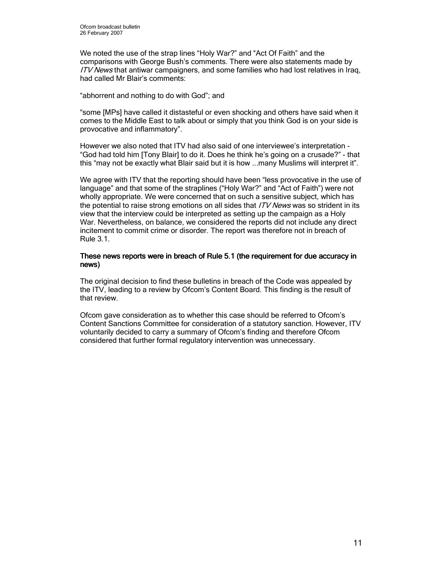We noted the use of the strap lines "Holy War?" and "Act Of Faith" and the comparisons with George Bush's comments. There were also statements made by ITV News that antiwar campaigners, and some families who had lost relatives in Iraq, had called Mr Blair's comments:

"abhorrent and nothing to do with God"; and

"some [MPs] have called it distasteful or even shocking and others have said when it comes to the Middle East to talk about or simply that you think God is on your side is provocative and inflammatory".

However we also noted that ITV had also said of one interviewee's interpretation - "God had told him [Tony Blair] to do it. Does he think he's going on a crusade?" - that this "may not be exactly what Blair said but it is how ...many Muslims will interpret it".

We agree with ITV that the reporting should have been "less provocative in the use of language" and that some of the straplines ("Holy War?" and "Act of Faith") were not wholly appropriate. We were concerned that on such a sensitive subject, which has the potential to raise strong emotions on all sides that ITV News was so strident in its view that the interview could be interpreted as setting up the campaign as a Holy War. Nevertheless, on balance, we considered the reports did not include any direct incitement to commit crime or disorder. The report was therefore not in breach of Rule 3.1.

### These news reports were in breach of Rule 5.1 (the requirement for due accuracy in news)

The original decision to find these bulletins in breach of the Code was appealed by the ITV, leading to a review by Ofcom's Content Board. This finding is the result of that review.

Ofcom gave consideration as to whether this case should be referred to Ofcom's Content Sanctions Committee for consideration of a statutory sanction. However, ITV voluntarily decided to carry a summary of Ofcom's finding and therefore Ofcom considered that further formal regulatory intervention was unnecessary.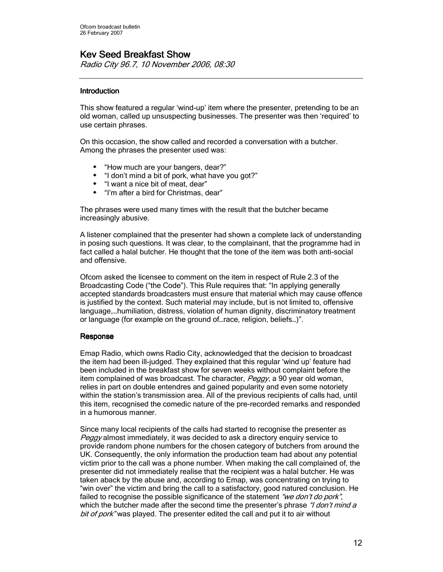# **Kev Seed Breakfast Show**

Radio City 96.7, 10 November 2006, 08:30

### **Introduction**

This show featured a regular 'wind-up' item where the presenter, pretending to be an old woman, called up unsuspecting businesses. The presenter was then 'required' to use certain phrases.

On this occasion, the show called and recorded a conversation with a butcher. Among the phrases the presenter used was:

- "How much are your bangers, dear?"
- \* "I don't mind a bit of pork, what have you got?"
- "I want a nice bit of meat, dear"
- "I'm after a bird for Christmas, dear"

The phrases were used many times with the result that the butcher became increasingly abusive.

A listener complained that the presenter had shown a complete lack of understanding in posing such questions. It was clear, to the complainant, that the programme had in fact called a halal butcher. He thought that the tone of the item was both anti-social and offensive.

Ofcom asked the licensee to comment on the item in respect of Rule 2.3 of the Broadcasting Code ("the Code"). This Rule requires that: "In applying generally accepted standards broadcasters must ensure that material which may cause offence is justified by the context. Such material may include, but is not limited to, offensive language,…humiliation, distress, violation of human dignity, discriminatory treatment or language (for example on the ground of…race, religion, beliefs…)".

### Response

Emap Radio, which owns Radio City, acknowledged that the decision to broadcast the item had been ill-judged. They explained that this regular 'wind up' feature had been included in the breakfast show for seven weeks without complaint before the item complained of was broadcast. The character, Peggy, a 90 year old woman, relies in part on double entendres and gained popularity and even some notoriety within the station's transmission area. All of the previous recipients of calls had, until this item, recognised the comedic nature of the pre-recorded remarks and responded in a humorous manner.

Since many local recipients of the calls had started to recognise the presenter as Peggy almost immediately, it was decided to ask a directory enquiry service to provide random phone numbers for the chosen category of butchers from around the UK. Consequently, the only information the production team had about any potential victim prior to the call was a phone number. When making the call complained of, the presenter did not immediately realise that the recipient was a halal butcher. He was taken aback by the abuse and, according to Emap, was concentrating on trying to "win over" the victim and bring the call to a satisfactory, good natured conclusion. He failed to recognise the possible significance of the statement "we don't do pork", which the butcher made after the second time the presenter's phrase "I don't mind a bit of pork" was played. The presenter edited the call and put it to air without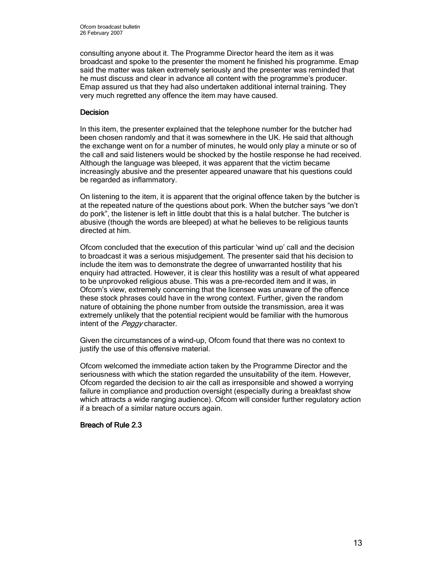consulting anyone about it. The Programme Director heard the item as it was broadcast and spoke to the presenter the moment he finished his programme. Emap said the matter was taken extremely seriously and the presenter was reminded that he must discuss and clear in advance all content with the programme's producer. Emap assured us that they had also undertaken additional internal training. They very much regretted any offence the item may have caused.

### **Decision**

In this item, the presenter explained that the telephone number for the butcher had been chosen randomly and that it was somewhere in the UK. He said that although the exchange went on for a number of minutes, he would only play a minute or so of the call and said listeners would be shocked by the hostile response he had received. Although the language was bleeped, it was apparent that the victim became increasingly abusive and the presenter appeared unaware that his questions could be regarded as inflammatory.

On listening to the item, it is apparent that the original offence taken by the butcher is at the repeated nature of the questions about pork. When the butcher says "we don't do pork", the listener is left in little doubt that this is a halal butcher. The butcher is abusive (though the words are bleeped) at what he believes to be religious taunts directed at him.

Ofcom concluded that the execution of this particular 'wind up' call and the decision to broadcast it was a serious misjudgement. The presenter said that his decision to include the item was to demonstrate the degree of unwarranted hostility that his enquiry had attracted. However, it is clear this hostility was a result of what appeared to be unprovoked religious abuse. This was a pre-recorded item and it was, in Ofcom's view, extremely concerning that the licensee was unaware of the offence these stock phrases could have in the wrong context. Further, given the random nature of obtaining the phone number from outside the transmission, area it was extremely unlikely that the potential recipient would be familiar with the humorous intent of the Peggy character.

Given the circumstances of a wind-up, Ofcom found that there was no context to justify the use of this offensive material.

Ofcom welcomed the immediate action taken by the Programme Director and the seriousness with which the station regarded the unsuitability of the item. However, Ofcom regarded the decision to air the call as irresponsible and showed a worrying failure in compliance and production oversight (especially during a breakfast show which attracts a wide ranging audience). Ofcom will consider further regulatory action if a breach of a similar nature occurs again.

## Breach of Rule 2.3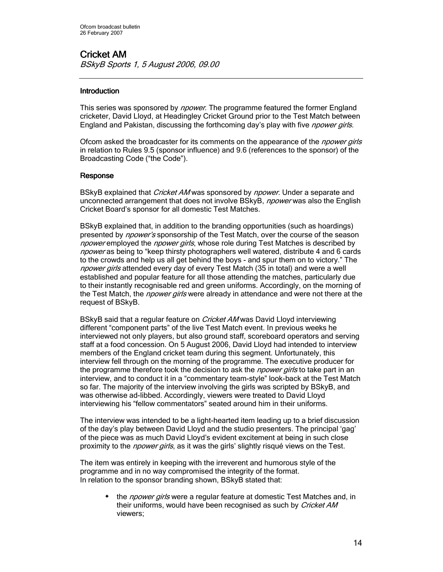# Cricket AM BSkyB Sports 1, 5 August 2006, 09.00

## **Introduction**

This series was sponsored by *npower*. The programme featured the former England cricketer, David Lloyd, at Headingley Cricket Ground prior to the Test Match between England and Pakistan, discussing the forthcoming day's play with five *npower girls*.

Ofcom asked the broadcaster for its comments on the appearance of the *npower girls* in relation to Rules 9.5 (sponsor influence) and 9.6 (references to the sponsor) of the Broadcasting Code ("the Code").

### Response

BSkyB explained that *Cricket AM* was sponsored by *npower*. Under a separate and unconnected arrangement that does not involve BSkyB, *npower* was also the English Cricket Board's sponsor for all domestic Test Matches.

BSkyB explained that, in addition to the branding opportunities (such as hoardings) presented by *npower's* sponsorship of the Test Match, over the course of the season npower employed the npower girls, whose role during Test Matches is described by npower as being to "keep thirsty photographers well watered, distribute 4 and 6 cards to the crowds and help us all get behind the boys - and spur them on to victory." The npower girls attended every day of every Test Match (35 in total) and were a well established and popular feature for all those attending the matches, particularly due to their instantly recognisable red and green uniforms. Accordingly, on the morning of the Test Match, the *npower girls* were already in attendance and were not there at the request of BSkyB.

BSkyB said that a regular feature on *Cricket AM* was David Lloyd interviewing different "component parts" of the live Test Match event. In previous weeks he interviewed not only players, but also ground staff, scoreboard operators and serving staff at a food concession. On 5 August 2006, David Lloyd had intended to interview members of the England cricket team during this segment. Unfortunately, this interview fell through on the morning of the programme. The executive producer for the programme therefore took the decision to ask the *npower girls* to take part in an interview, and to conduct it in a "commentary team-style" look-back at the Test Match so far. The majority of the interview involving the girls was scripted by BSkyB, and was otherwise ad-libbed. Accordingly, viewers were treated to David Lloyd interviewing his "fellow commentators" seated around him in their uniforms.

The interview was intended to be a light-hearted item leading up to a brief discussion of the day's play between David Lloyd and the studio presenters. The principal 'gag' of the piece was as much David Lloyd's evident excitement at being in such close proximity to the *npower girls*, as it was the girls' slightly risqué views on the Test.

The item was entirely in keeping with the irreverent and humorous style of the programme and in no way compromised the integrity of the format. In relation to the sponsor branding shown, BSkyB stated that:

the *npower girls* were a regular feature at domestic Test Matches and, in their uniforms, would have been recognised as such by Cricket AM viewers;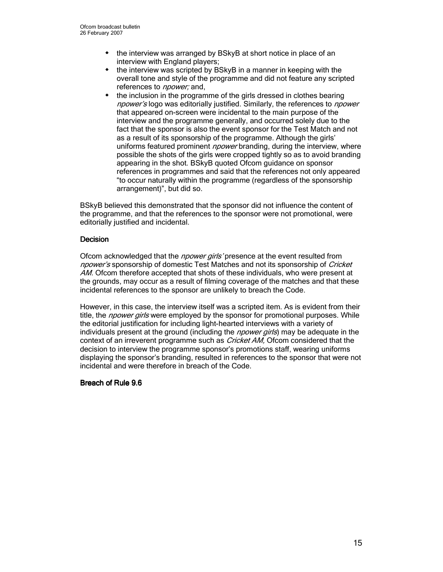- the interview was arranged by BSkyB at short notice in place of an interview with England players;
- $\bullet$  the interview was scripted by BSkyB in a manner in keeping with the overall tone and style of the programme and did not feature any scripted references to *npower*; and,
- the inclusion in the programme of the girls dressed in clothes bearing npower's logo was editorially justified. Similarly, the references to npower that appeared on-screen were incidental to the main purpose of the interview and the programme generally, and occurred solely due to the fact that the sponsor is also the event sponsor for the Test Match and not as a result of its sponsorship of the programme. Although the girls' uniforms featured prominent *npower* branding, during the interview, where possible the shots of the girls were cropped tightly so as to avoid branding appearing in the shot. BSkyB quoted Ofcom guidance on sponsor references in programmes and said that the references not only appeared "to occur naturally within the programme (regardless of the sponsorship arrangement)", but did so.

BSkyB believed this demonstrated that the sponsor did not influence the content of the programme, and that the references to the sponsor were not promotional, were editorially justified and incidental.

### **Decision**

Ofcom acknowledged that the *npower girls'* presence at the event resulted from npower's sponsorship of domestic Test Matches and not its sponsorship of Cricket AM. Ofcom therefore accepted that shots of these individuals, who were present at the grounds, may occur as a result of filming coverage of the matches and that these incidental references to the sponsor are unlikely to breach the Code.

However, in this case, the interview itself was a scripted item. As is evident from their title, the *npower girls* were employed by the sponsor for promotional purposes. While the editorial justification for including light-hearted interviews with a variety of individuals present at the ground (including the *npower girls*) may be adequate in the context of an irreverent programme such as *Cricket AM*, Ofcom considered that the decision to interview the programme sponsor's promotions staff, wearing uniforms displaying the sponsor's branding, resulted in references to the sponsor that were not incidental and were therefore in breach of the Code.

### Breach of Rule 9.6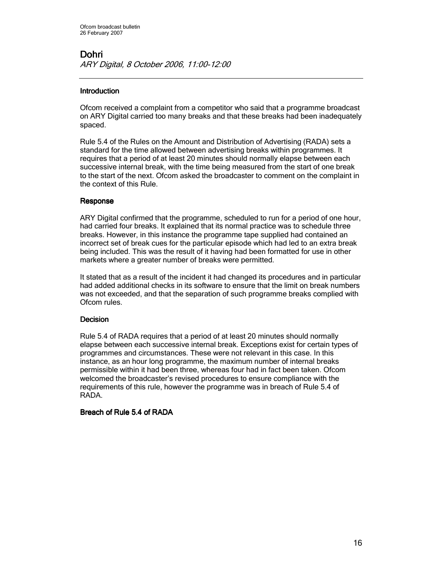## **Introduction**

Ofcom received a complaint from a competitor who said that a programme broadcast on ARY Digital carried too many breaks and that these breaks had been inadequately spaced.

Rule 5.4 of the Rules on the Amount and Distribution of Advertising (RADA) sets a standard for the time allowed between advertising breaks within programmes. It requires that a period of at least 20 minutes should normally elapse between each successive internal break, with the time being measured from the start of one break to the start of the next. Ofcom asked the broadcaster to comment on the complaint in the context of this Rule.

### Response

ARY Digital confirmed that the programme, scheduled to run for a period of one hour, had carried four breaks. It explained that its normal practice was to schedule three breaks. However, in this instance the programme tape supplied had contained an incorrect set of break cues for the particular episode which had led to an extra break being included. This was the result of it having had been formatted for use in other markets where a greater number of breaks were permitted.

It stated that as a result of the incident it had changed its procedures and in particular had added additional checks in its software to ensure that the limit on break numbers was not exceeded, and that the separation of such programme breaks complied with Ofcom rules.

## **Decision**

Rule 5.4 of RADA requires that a period of at least 20 minutes should normally elapse between each successive internal break. Exceptions exist for certain types of programmes and circumstances. These were not relevant in this case. In this instance, as an hour long programme, the maximum number of internal breaks permissible within it had been three, whereas four had in fact been taken. Ofcom welcomed the broadcaster's revised procedures to ensure compliance with the requirements of this rule, however the programme was in breach of Rule 5.4 of RADA.

### Breach of Rule 5.4 of RADA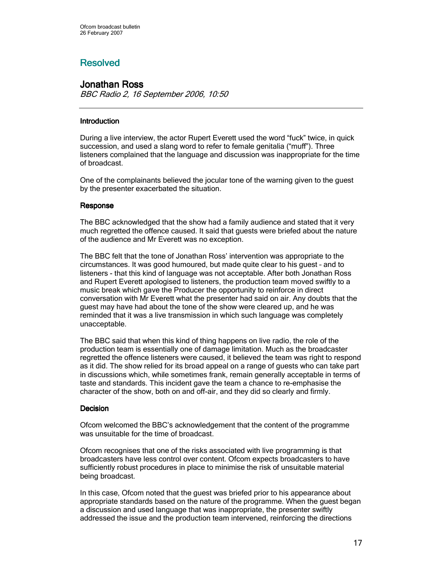# **Resolved**

# **Jonathan Ross**

BBC Radio 2, 16 September 2006, 10:50

# **Introduction**

During a live interview, the actor Rupert Everett used the word "fuck" twice, in quick succession, and used a slang word to refer to female genitalia ("muff"). Three listeners complained that the language and discussion was inappropriate for the time of broadcast.

One of the complainants believed the jocular tone of the warning given to the guest by the presenter exacerbated the situation.

# Response

The BBC acknowledged that the show had a family audience and stated that it very much regretted the offence caused. It said that guests were briefed about the nature of the audience and Mr Everett was no exception.

The BBC felt that the tone of Jonathan Ross' intervention was appropriate to the circumstances. It was good humoured, but made quite clear to his guest – and to listeners - that this kind of language was not acceptable. After both Jonathan Ross and Rupert Everett apologised to listeners, the production team moved swiftly to a music break which gave the Producer the opportunity to reinforce in direct conversation with Mr Everett what the presenter had said on air. Any doubts that the guest may have had about the tone of the show were cleared up, and he was reminded that it was a live transmission in which such language was completely unacceptable.

The BBC said that when this kind of thing happens on live radio, the role of the production team is essentially one of damage limitation. Much as the broadcaster regretted the offence listeners were caused, it believed the team was right to respond as it did. The show relied for its broad appeal on a range of guests who can take part in discussions which, while sometimes frank, remain generally acceptable in terms of taste and standards. This incident gave the team a chance to re-emphasise the character of the show, both on and off-air, and they did so clearly and firmly.

## **Decision**

Ofcom welcomed the BBC's acknowledgement that the content of the programme was unsuitable for the time of broadcast.

Ofcom recognises that one of the risks associated with live programming is that broadcasters have less control over content. Ofcom expects broadcasters to have sufficiently robust procedures in place to minimise the risk of unsuitable material being broadcast.

In this case, Ofcom noted that the guest was briefed prior to his appearance about appropriate standards based on the nature of the programme. When the guest began a discussion and used language that was inappropriate, the presenter swiftly addressed the issue and the production team intervened, reinforcing the directions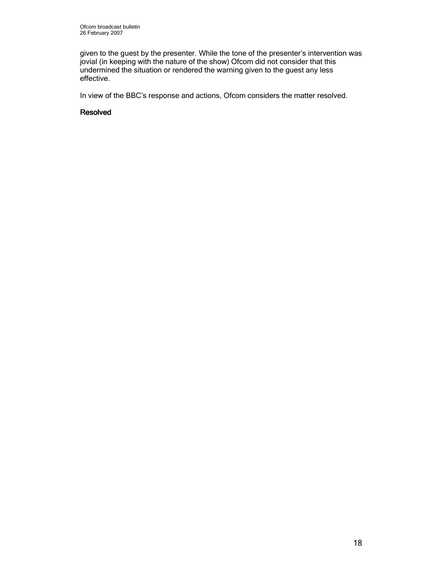given to the guest by the presenter. While the tone of the presenter's intervention was jovial (in keeping with the nature of the show) Ofcom did not consider that this undermined the situation or rendered the warning given to the guest any less effective.

In view of the BBC's response and actions, Ofcom considers the matter resolved.

### Resolved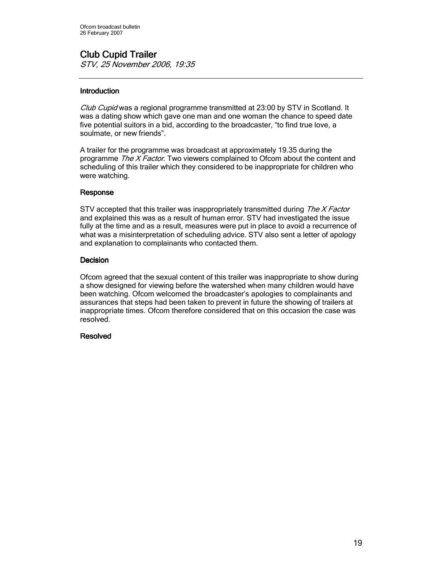# **Club Cupid Trailer**

STV, 25 November 2006, 19:35

# **Introduction**

Club Cupid was a regional programme transmitted at 23:00 by STV in Scotland. It was a dating show which gave one man and one woman the chance to speed date five potential suitors in a bid, according to the broadcaster, "to find true love, a soulmate, or new friends".

A trailer for the programme was broadcast at approximately 19.35 during the programme The X Factor. Two viewers complained to Ofcom about the content and scheduling of this trailer which they considered to be inappropriate for children who were watching.

### Response

STV accepted that this trailer was inappropriately transmitted during *The X Factor* and explained this was as a result of human error. STV had investigated the issue fully at the time and as a result, measures were put in place to avoid a recurrence of what was a misinterpretation of scheduling advice. STV also sent a letter of apology and explanation to complainants who contacted them.

## **Decision**

Ofcom agreed that the sexual content of this trailer was inappropriate to show during a show designed for viewing before the watershed when many children would have been watching. Ofcom welcomed the broadcaster's apologies to complainants and assurances that steps had been taken to prevent in future the showing of trailers at inappropriate times. Ofcom therefore considered that on this occasion the case was resolved.

## **Resolved**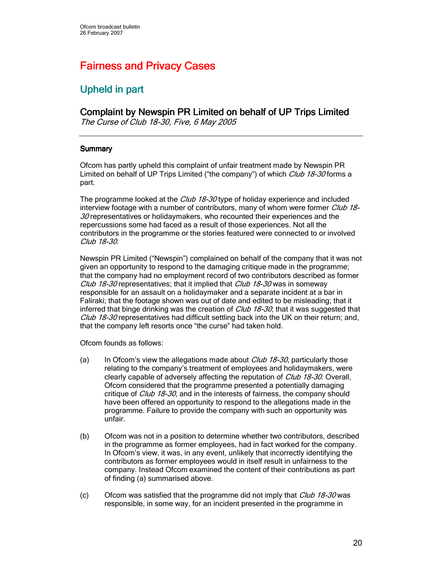# **Fairness and Privacy Cases**

# Upheld in part

# Complaint by Newspin PR Limited on behalf of UP Trips Limited

The Curse of Club 18-30, Five, 6 May 2005

## **Summary**

Ofcom has partly upheld this complaint of unfair treatment made by Newspin PR Limited on behalf of UP Trips Limited ("the company") of which *Club 18-30* forms a part.

The programme looked at the Club 18-30 type of holiday experience and included interview footage with a number of contributors, many of whom were former Club 18- $30$  representatives or holidaymakers, who recounted their experiences and the repercussions some had faced as a result of those experiences. Not all the contributors in the programme or the stories featured were connected to or involved Club 18-30.

Newspin PR Limited ("Newspin") complained on behalf of the company that it was not given an opportunity to respond to the damaging critique made in the programme; that the company had no employment record of two contributors described as former *Club 18-30* representatives; that it implied that *Club 18-30* was in someway responsible for an assault on a holidaymaker and a separate incident at a bar in Faliraki; that the footage shown was out of date and edited to be misleading; that it inferred that binge drinking was the creation of  $Club$  18-30; that it was suggested that Club 18-30 representatives had difficult settling back into the UK on their return; and, that the company left resorts once "the curse" had taken hold.

Ofcom founds as follows:

- (a) In Ofcom's view the allegations made about  $\mathcal{C}/\mathcal{U}b$  18-30, particularly those relating to the company's treatment of employees and holidaymakers, were clearly capable of adversely affecting the reputation of *Club 18-30*. Overall, Ofcom considered that the programme presented a potentially damaging critique of Club 18-30, and in the interests of fairness, the company should have been offered an opportunity to respond to the allegations made in the programme. Failure to provide the company with such an opportunity was unfair.
- (b) Ofcom was not in a position to determine whether two contributors, described in the programme as former employees, had in fact worked for the company. In Ofcom's view, it was, in any event, unlikely that incorrectly identifying the contributors as former employees would in itself result in unfairness to the company. Instead Ofcom examined the content of their contributions as part of finding (a) summarised above.
- (c) Ofcom was satisfied that the programme did not imply that  $\mathcal{C} \mu$  18-30 was responsible, in some way, for an incident presented in the programme in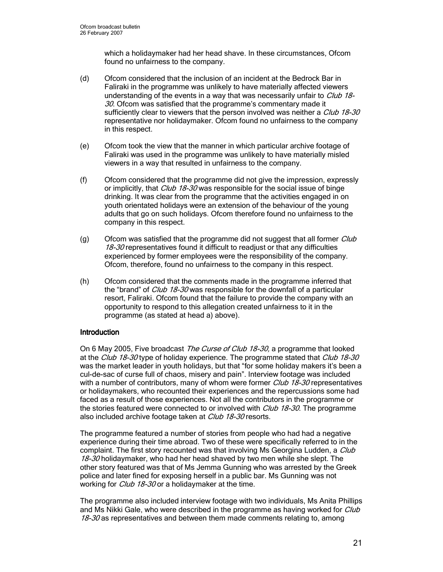which a holidaymaker had her head shave. In these circumstances, Ofcom found no unfairness to the company.

- (d) Ofcom considered that the inclusion of an incident at the Bedrock Bar in Faliraki in the programme was unlikely to have materially affected viewers understanding of the events in a way that was necessarily unfair to Club 18-30. Ofcom was satisfied that the programme's commentary made it sufficiently clear to viewers that the person involved was neither a *Club 18-30* representative nor holidaymaker. Ofcom found no unfairness to the company in this respect.
- (e) Ofcom took the view that the manner in which particular archive footage of Faliraki was used in the programme was unlikely to have materially misled viewers in a way that resulted in unfairness to the company.
- (f) Ofcom considered that the programme did not give the impression, expressly or implicitly, that *Club 18-30* was responsible for the social issue of binge drinking. It was clear from the programme that the activities engaged in on youth orientated holidays were an extension of the behaviour of the young adults that go on such holidays. Ofcom therefore found no unfairness to the company in this respect.
- (g) Ofcom was satisfied that the programme did not suggest that all former  $Club$ 18-30 representatives found it difficult to readjust or that any difficulties experienced by former employees were the responsibility of the company. Ofcom, therefore, found no unfairness to the company in this respect.
- (h) Ofcom considered that the comments made in the programme inferred that the "brand" of *Club 18-30* was responsible for the downfall of a particular resort, Faliraki. Ofcom found that the failure to provide the company with an opportunity to respond to this allegation created unfairness to it in the programme (as stated at head a) above).

## **Introduction**

On 6 May 2005, Five broadcast The Curse of Club 18-30, a programme that looked at the Club 18-30 type of holiday experience. The programme stated that Club 18-30 was the market leader in youth holidays, but that "for some holiday makers it's been a cul-de-sac of curse full of chaos, misery and pain". Interview footage was included with a number of contributors, many of whom were former Club 18-30 representatives or holidaymakers, who recounted their experiences and the repercussions some had faced as a result of those experiences. Not all the contributors in the programme or the stories featured were connected to or involved with *Club 18-30*. The programme also included archive footage taken at Club 18-30 resorts.

The programme featured a number of stories from people who had had a negative experience during their time abroad. Two of these were specifically referred to in the complaint. The first story recounted was that involving Ms Georgina Ludden, a Club 18-30 holidaymaker, who had her head shaved by two men while she slept. The other story featured was that of Ms Jemma Gunning who was arrested by the Greek police and later fined for exposing herself in a public bar. Ms Gunning was not working for *Club 18-30* or a holidaymaker at the time.

The programme also included interview footage with two individuals, Ms Anita Phillips and Ms Nikki Gale, who were described in the programme as having worked for Club 18-30 as representatives and between them made comments relating to, among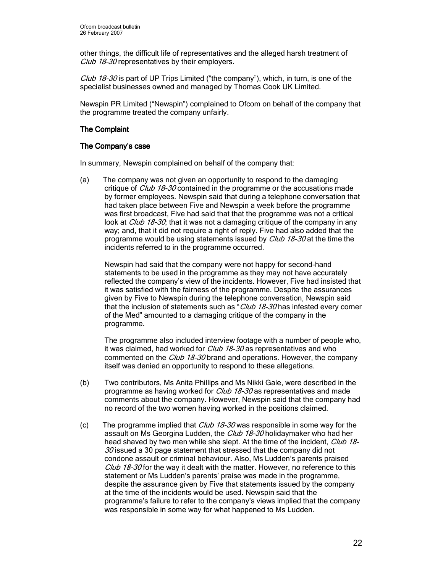other things, the difficult life of representatives and the alleged harsh treatment of Club 18-30 representatives by their employers.

Club 18-30 is part of UP Trips Limited ("the company"), which, in turn, is one of the specialist businesses owned and managed by Thomas Cook UK Limited.

Newspin PR Limited ("Newspin") complained to Ofcom on behalf of the company that the programme treated the company unfairly.

# **The Complaint**

## The Company's case

In summary, Newspin complained on behalf of the company that:

(a) The company was not given an opportunity to respond to the damaging critique of *Club 18-30* contained in the programme or the accusations made by former employees. Newspin said that during a telephone conversation that had taken place between Five and Newspin a week before the programme was first broadcast, Five had said that that the programme was not a critical look at *Club 18-30*; that it was not a damaging critique of the company in any way; and, that it did not require a right of reply. Five had also added that the programme would be using statements issued by *Club 18-30* at the time the incidents referred to in the programme occurred.

Newspin had said that the company were not happy for second-hand statements to be used in the programme as they may not have accurately reflected the company's view of the incidents. However, Five had insisted that it was satisfied with the fairness of the programme. Despite the assurances given by Five to Newspin during the telephone conversation, Newspin said that the inclusion of statements such as "Club 18-30 has infested every corner of the Med" amounted to a damaging critique of the company in the programme.

The programme also included interview footage with a number of people who, it was claimed, had worked for *Club 18-30* as representatives and who commented on the Club 18-30 brand and operations. However, the company itself was denied an opportunity to respond to these allegations.

- (b) Two contributors, Ms Anita Phillips and Ms Nikki Gale, were described in the programme as having worked for *Club 18-30* as representatives and made comments about the company. However, Newspin said that the company had no record of the two women having worked in the positions claimed.
- (c) The programme implied that  $Club$  18-30 was responsible in some way for the assault on Ms Georgina Ludden, the Club 18-30 holidaymaker who had her head shaved by two men while she slept. At the time of the incident, Club 18- $30$  issued a 30 page statement that stressed that the company did not condone assault or criminal behaviour. Also, Ms Ludden's parents praised Club 18-30 for the way it dealt with the matter. However, no reference to this statement or Ms Ludden's parents' praise was made in the programme, despite the assurance given by Five that statements issued by the company at the time of the incidents would be used. Newspin said that the programme's failure to refer to the company's views implied that the company was responsible in some way for what happened to Ms Ludden.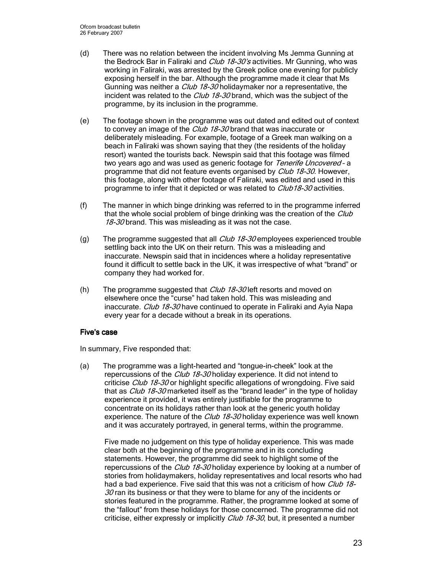- (d) There was no relation between the incident involving Ms Jemma Gunning at the Bedrock Bar in Faliraki and *Club 18-30's* activities. Mr Gunning, who was working in Faliraki, was arrested by the Greek police one evening for publicly exposing herself in the bar. Although the programme made it clear that Ms Gunning was neither a *Club 18-30* holidaymaker nor a representative, the incident was related to the Club 18-30 brand, which was the subject of the programme, by its inclusion in the programme.
- (e) The footage shown in the programme was out dated and edited out of context to convey an image of the *Club 18-30* brand that was inaccurate or deliberately misleading. For example, footage of a Greek man walking on a beach in Faliraki was shown saying that they (the residents of the holiday resort) wanted the tourists back. Newspin said that this footage was filmed two years ago and was used as generic footage for Tenerife Uncovered - a programme that did not feature events organised by *Club 18-30*. However, this footage, along with other footage of Faliraki, was edited and used in this programme to infer that it depicted or was related to *Club18-30* activities.
- (f) The manner in which binge drinking was referred to in the programme inferred that the whole social problem of binge drinking was the creation of the Club 18-30 brand. This was misleading as it was not the case.
- (g) The programme suggested that all  $Club$  18-30 employees experienced trouble settling back into the UK on their return. This was a misleading and inaccurate. Newspin said that in incidences where a holiday representative found it difficult to settle back in the UK, it was irrespective of what "brand" or company they had worked for.
- (h) The programme suggested that  $\frac{C \mu b}{2}$  18-30 left resorts and moved on elsewhere once the "curse" had taken hold. This was misleading and inaccurate. Club 18-30 have continued to operate in Faliraki and Ayia Napa every year for a decade without a break in its operations.

## Five's case

In summary, Five responded that:

(a) The programme was a light-hearted and "tongue-in-cheek" look at the repercussions of the *Club 18-30* holiday experience. It did not intend to criticise *Club 18-30* or highlight specific allegations of wrongdoing. Five said that as *Club 18-30* marketed itself as the "brand leader" in the type of holiday experience it provided, it was entirely justifiable for the programme to concentrate on its holidays rather than look at the generic youth holiday experience. The nature of the Club 18-30 holiday experience was well known and it was accurately portrayed, in general terms, within the programme.

Five made no judgement on this type of holiday experience. This was made clear both at the beginning of the programme and in its concluding statements. However, the programme did seek to highlight some of the repercussions of the *Club 18-30* holiday experience by looking at a number of stories from holidaymakers, holiday representatives and local resorts who had had a bad experience. Five said that this was not a criticism of how Club 18- $30$  ran its business or that they were to blame for any of the incidents or stories featured in the programme. Rather, the programme looked at some of the "fallout" from these holidays for those concerned. The programme did not criticise, either expressly or implicitly *Club 18-30*, but, it presented a number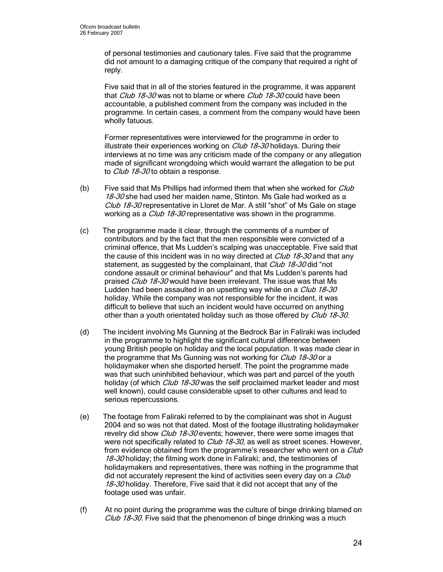of personal testimonies and cautionary tales. Five said that the programme did not amount to a damaging critique of the company that required a right of reply.

Five said that in all of the stories featured in the programme, it was apparent that *Club 18-30* was not to blame or where *Club 18-30* could have been accountable, a published comment from the company was included in the programme. In certain cases, a comment from the company would have been wholly fatuous.

Former representatives were interviewed for the programme in order to illustrate their experiences working on *Club 18-30* holidays. During their interviews at no time was any criticism made of the company or any allegation made of significant wrongdoing which would warrant the allegation to be put to Club 18-30 to obtain a response.

- (b) Five said that Ms Phillips had informed them that when she worked for  $Club$ 18-30 she had used her maiden name, Stinton. Ms Gale had worked as a Club 18-30 representative in Lloret de Mar. A still "shot" of Ms Gale on stage working as a *Club 18-30* representative was shown in the programme.
- (c) The programme made it clear, through the comments of a number of contributors and by the fact that the men responsible were convicted of a criminal offence, that Ms Ludden's scalping was unacceptable. Five said that the cause of this incident was in no way directed at *Club 18-30* and that any statement, as suggested by the complainant, that *Club 18-30* did "not condone assault or criminal behaviour" and that Ms Ludden's parents had praised Club 18-30 would have been irrelevant. The issue was that Ms Ludden had been assaulted in an upsetting way while on a Club 18-30 holiday. While the company was not responsible for the incident, it was difficult to believe that such an incident would have occurred on anything other than a youth orientated holiday such as those offered by Club 18-30.
- (d) The incident involving Ms Gunning at the Bedrock Bar in Faliraki was included in the programme to highlight the significant cultural difference between young British people on holiday and the local population. It was made clear in the programme that Ms Gunning was not working for Club 18-30 or a holidaymaker when she disported herself. The point the programme made was that such uninhibited behaviour, which was part and parcel of the youth holiday (of which *Club 18-30* was the self proclaimed market leader and most well known), could cause considerable upset to other cultures and lead to serious repercussions.
- (e) The footage from Faliraki referred to by the complainant was shot in August 2004 and so was not that dated. Most of the footage illustrating holidaymaker revelry did show Club 18-30 events; however, there were some images that were not specifically related to *Club 18-30*, as well as street scenes. However, from evidence obtained from the programme's researcher who went on a Club 18-30 holiday; the filming work done in Faliraki; and, the testimonies of holidaymakers and representatives, there was nothing in the programme that did not accurately represent the kind of activities seen every day on a Club 18-30 holiday. Therefore, Five said that it did not accept that any of the footage used was unfair.
- (f) At no point during the programme was the culture of binge drinking blamed on Club 18-30. Five said that the phenomenon of binge drinking was a much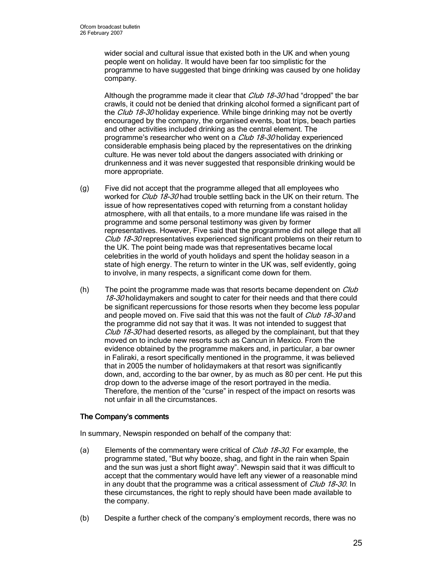wider social and cultural issue that existed both in the UK and when young people went on holiday. It would have been far too simplistic for the programme to have suggested that binge drinking was caused by one holiday company.

Although the programme made it clear that *Club 18-30* had "dropped" the bar crawls, it could not be denied that drinking alcohol formed a significant part of the Club 18-30 holiday experience. While binge drinking may not be overtly encouraged by the company, the organised events, boat trips, beach parties and other activities included drinking as the central element. The programme's researcher who went on a Club 18-30 holiday experienced considerable emphasis being placed by the representatives on the drinking culture. He was never told about the dangers associated with drinking or drunkenness and it was never suggested that responsible drinking would be more appropriate.

- (g) Five did not accept that the programme alleged that all employees who worked for *Club 18-30* had trouble settling back in the UK on their return. The issue of how representatives coped with returning from a constant holiday atmosphere, with all that entails, to a more mundane life was raised in the programme and some personal testimony was given by former representatives. However, Five said that the programme did not allege that all Club 18-30 representatives experienced significant problems on their return to the UK. The point being made was that representatives became local celebrities in the world of youth holidays and spent the holiday season in a state of high energy. The return to winter in the UK was, self evidently, going to involve, in many respects, a significant come down for them.
- (h) The point the programme made was that resorts became dependent on  $Club$ 18-30 holidaymakers and sought to cater for their needs and that there could be significant repercussions for those resorts when they become less popular and people moved on. Five said that this was not the fault of *Club 18-30* and the programme did not say that it was. It was not intended to suggest that Club 18-30 had deserted resorts, as alleged by the complainant, but that they moved on to include new resorts such as Cancun in Mexico. From the evidence obtained by the programme makers and, in particular, a bar owner in Faliraki, a resort specifically mentioned in the programme, it was believed that in 2005 the number of holidaymakers at that resort was significantly down, and, according to the bar owner, by as much as 80 per cent. He put this drop down to the adverse image of the resort portrayed in the media. Therefore, the mention of the "curse" in respect of the impact on resorts was not unfair in all the circumstances.

## The Company's comments

In summary, Newspin responded on behalf of the company that:

- (a) Elements of the commentary were critical of  $\mathit{Club}$  18-30. For example, the programme stated, "But why booze, shag, and fight in the rain when Spain and the sun was just a short flight away". Newspin said that it was difficult to accept that the commentary would have left any viewer of a reasonable mind in any doubt that the programme was a critical assessment of *Club 18-30*. In these circumstances, the right to reply should have been made available to the company.
- (b) Despite a further check of the company's employment records, there was no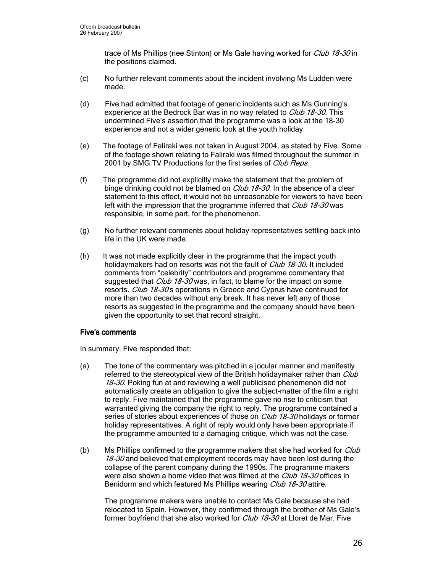trace of Ms Phillips (nee Stinton) or Ms Gale having worked for *Club 18-30* in the positions claimed.

- (c) No further relevant comments about the incident involving Ms Ludden were made.
- (d) Five had admitted that footage of generic incidents such as Ms Gunning's experience at the Bedrock Bar was in no way related to *Club 18-30*. This undermined Five's assertion that the programme was a look at the 18-30 experience and not a wider generic look at the youth holiday.
- (e) The footage of Faliraki was not taken in August 2004, as stated by Five. Some of the footage shown relating to Faliraki was filmed throughout the summer in 2001 by SMG TV Productions for the first series of Club Reps.
- (f) The programme did not explicitly make the statement that the problem of binge drinking could not be blamed on *Club 18-30*. In the absence of a clear statement to this effect, it would not be unreasonable for viewers to have been left with the impression that the programme inferred that *Club 18-30* was responsible, in some part, for the phenomenon.
- (g) No further relevant comments about holiday representatives settling back into life in the UK were made.
- (h) It was not made explicitly clear in the programme that the impact youth holidaymakers had on resorts was not the fault of *Club 18-30*. It included comments from "celebrity" contributors and programme commentary that suggested that Club 18-30 was, in fact, to blame for the impact on some resorts. Club 18-30s operations in Greece and Cyprus have continued for more than two decades without any break. It has never left any of those resorts as suggested in the programme and the company should have been given the opportunity to set that record straight.

## Five's comments

In summary, Five responded that:

- (a) The tone of the commentary was pitched in a jocular manner and manifestly referred to the stereotypical view of the British holidaymaker rather than Club 18-30. Poking fun at and reviewing a well publicised phenomenon did not automatically create an obligation to give the subject-matter of the film a right to reply. Five maintained that the programme gave no rise to criticism that warranted giving the company the right to reply. The programme contained a series of stories about experiences of those on *Club 18-30* holidays or former holiday representatives. A right of reply would only have been appropriate if the programme amounted to a damaging critique, which was not the case.
- (b) Ms Phillips confirmed to the programme makers that she had worked for Club 18-30 and believed that employment records may have been lost during the collapse of the parent company during the 1990s. The programme makers were also shown a home video that was filmed at the *Club 18-30* offices in Benidorm and which featured Ms Phillips wearing Club 18-30 attire.

The programme makers were unable to contact Ms Gale because she had relocated to Spain. However, they confirmed through the brother of Ms Gale's former boyfriend that she also worked for *Club 18-30* at Lloret de Mar. Five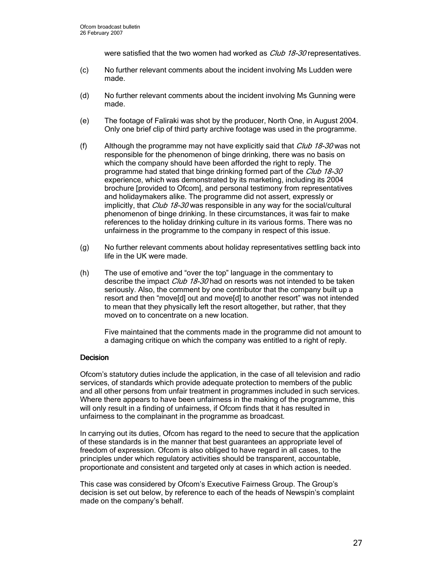were satisfied that the two women had worked as *Club 18-30* representatives.

- (c) No further relevant comments about the incident involving Ms Ludden were made.
- (d) No further relevant comments about the incident involving Ms Gunning were made.
- (e) The footage of Faliraki was shot by the producer, North One, in August 2004. Only one brief clip of third party archive footage was used in the programme.
- (f) Although the programme may not have explicitly said that  $\mathit{Club}\$  18-30 was not responsible for the phenomenon of binge drinking, there was no basis on which the company should have been afforded the right to reply. The programme had stated that binge drinking formed part of the Club 18-30 experience, which was demonstrated by its marketing, including its 2004 brochure [provided to Ofcom], and personal testimony from representatives and holidaymakers alike. The programme did not assert, expressly or implicitly, that *Club 18-30* was responsible in any way for the social/cultural phenomenon of binge drinking. In these circumstances, it was fair to make references to the holiday drinking culture in its various forms. There was no unfairness in the programme to the company in respect of this issue.
- (g) No further relevant comments about holiday representatives settling back into life in the UK were made.
- (h) The use of emotive and "over the top" language in the commentary to describe the impact Club 18-30 had on resorts was not intended to be taken seriously. Also, the comment by one contributor that the company built up a resort and then "move[d] out and move[d] to another resort" was not intended to mean that they physically left the resort altogether, but rather, that they moved on to concentrate on a new location.

Five maintained that the comments made in the programme did not amount to a damaging critique on which the company was entitled to a right of reply.

## **Decision**

Ofcom's statutory duties include the application, in the case of all television and radio services, of standards which provide adequate protection to members of the public and all other persons from unfair treatment in programmes included in such services. Where there appears to have been unfairness in the making of the programme, this will only result in a finding of unfairness, if Ofcom finds that it has resulted in unfairness to the complainant in the programme as broadcast.

In carrying out its duties, Ofcom has regard to the need to secure that the application of these standards is in the manner that best guarantees an appropriate level of freedom of expression. Ofcom is also obliged to have regard in all cases, to the principles under which regulatory activities should be transparent, accountable, proportionate and consistent and targeted only at cases in which action is needed.

This case was considered by Ofcom's Executive Fairness Group. The Group's decision is set out below, by reference to each of the heads of Newspin's complaint made on the company's behalf.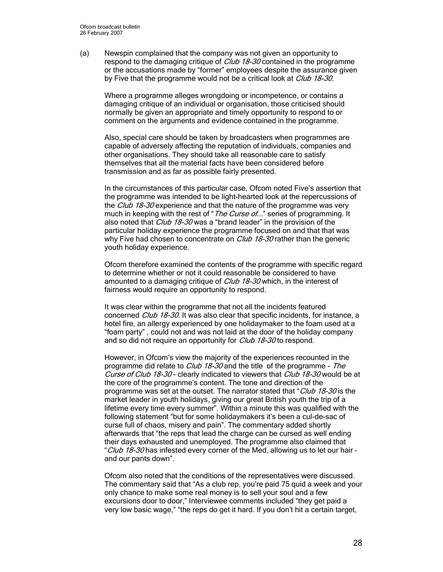(a) Newspin complained that the company was not given an opportunity to respond to the damaging critique of *Club 18-30* contained in the programme or the accusations made by "former" employees despite the assurance given by Five that the programme would not be a critical look at *Club 18-30*.

Where a programme alleges wrongdoing or incompetence, or contains a damaging critique of an individual or organisation, those criticised should normally be given an appropriate and timely opportunity to respond to or comment on the arguments and evidence contained in the programme.

Also, special care should be taken by broadcasters when programmes are capable of adversely affecting the reputation of individuals, companies and other organisations. They should take all reasonable care to satisfy themselves that all the material facts have been considered before transmission and as far as possible fairly presented.

In the circumstances of this particular case, Ofcom noted Five's assertion that the programme was intended to be light-hearted look at the repercussions of the Club 18-30 experience and that the nature of the programme was very much in keeping with the rest of "*The Curse of...*" series of programming. It also noted that Club 18-30 was a "brand leader" in the provision of the particular holiday experience the programme focused on and that that was why Five had chosen to concentrate on *Club 18-30* rather than the generic youth holiday experience.

Ofcom therefore examined the contents of the programme with specific regard to determine whether or not it could reasonable be considered to have amounted to a damaging critique of *Club 18-30* which, in the interest of fairness would require an opportunity to respond.

It was clear within the programme that not all the incidents featured concerned Club 18-30. It was also clear that specific incidents, for instance, a hotel fire, an allergy experienced by one holidaymaker to the foam used at a "foam party" , could not and was not laid at the door of the holiday company and so did not require an opportunity for Club 18-30 to respond.

However, in Ofcom's view the majority of the experiences recounted in the programme did relate to *Club 18-30* and the title of the programme - The Curse of Club 18-30 - clearly indicated to viewers that Club 18-30 would be at the core of the programme's content. The tone and direction of the programme was set at the outset. The narrator stated that "Club 18-30 is the market leader in youth holidays, giving our great British youth the trip of a lifetime every time every summer". Within a minute this was qualified with the following statement "but for some holidaymakers it's been a cul-de-sac of curse full of chaos, misery and pain". The commentary added shortly afterwards that "the reps that lead the charge can be cursed as well ending their days exhausted and unemployed. The programme also claimed that "Club 18-30 has infested every corner of the Med, allowing us to let our hair and our pants down".

Ofcom also noted that the conditions of the representatives were discussed. The commentary said that "As a club rep, you're paid 75 quid a week and your only chance to make some real money is to sell your soul and a few excursions door to door," Interviewee comments included "they get paid a very low basic wage," "the reps do get it hard. If you don't hit a certain target,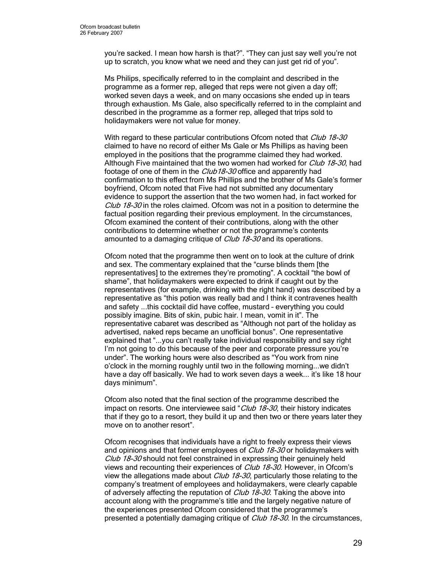you're sacked. I mean how harsh is that?". "They can just say well you're not up to scratch, you know what we need and they can just get rid of you".

Ms Philips, specifically referred to in the complaint and described in the programme as a former rep, alleged that reps were not given a day off; worked seven days a week, and on many occasions she ended up in tears through exhaustion. Ms Gale, also specifically referred to in the complaint and described in the programme as a former rep, alleged that trips sold to holidaymakers were not value for money.

With regard to these particular contributions Ofcom noted that Club 18-30 claimed to have no record of either Ms Gale or Ms Phillips as having been employed in the positions that the programme claimed they had worked. Although Five maintained that the two women had worked for Club 18-30, had footage of one of them in the *Club18-30* office and apparently had confirmation to this effect from Ms Phillips and the brother of Ms Gale's former boyfriend, Ofcom noted that Five had not submitted any documentary evidence to support the assertion that the two women had, in fact worked for Club 18-30 in the roles claimed. Of com was not in a position to determine the factual position regarding their previous employment. In the circumstances, Ofcom examined the content of their contributions, along with the other contributions to determine whether or not the programme's contents amounted to a damaging critique of *Club 18-30* and its operations.

Ofcom noted that the programme then went on to look at the culture of drink and sex. The commentary explained that the "curse blinds them [the representatives] to the extremes they're promoting". A cocktail "the bowl of shame", that holidaymakers were expected to drink if caught out by the representatives (for example, drinking with the right hand) was described by a representative as "this potion was really bad and I think it contravenes health and safety ...this cocktail did have coffee, mustard – everything you could possibly imagine. Bits of skin, pubic hair. I mean, vomit in it". The representative cabaret was described as "Although not part of the holiday as advertised, naked reps became an unofficial bonus". One representative explained that "...you can't really take individual responsibility and say right I'm not going to do this because of the peer and corporate pressure you're under". The working hours were also described as "You work from nine o'clock in the morning roughly until two in the following morning...we didn't have a day off basically. We had to work seven days a week... it's like 18 hour days minimum".

Ofcom also noted that the final section of the programme described the impact on resorts. One interviewee said "Club 18-30, their history indicates that if they go to a resort, they build it up and then two or there years later they move on to another resort".

Ofcom recognises that individuals have a right to freely express their views and opinions and that former employees of *Club 18-30* or holidaymakers with Club 18-30 should not feel constrained in expressing their genuinely held views and recounting their experiences of *Club 18-30*. However, in Ofcom's view the allegations made about *Club 18-30*, particularly those relating to the company's treatment of employees and holidaymakers, were clearly capable of adversely affecting the reputation of Club 18-30. Taking the above into account along with the programme's title and the largely negative nature of the experiences presented Ofcom considered that the programme's presented a potentially damaging critique of *Club 18-30*. In the circumstances,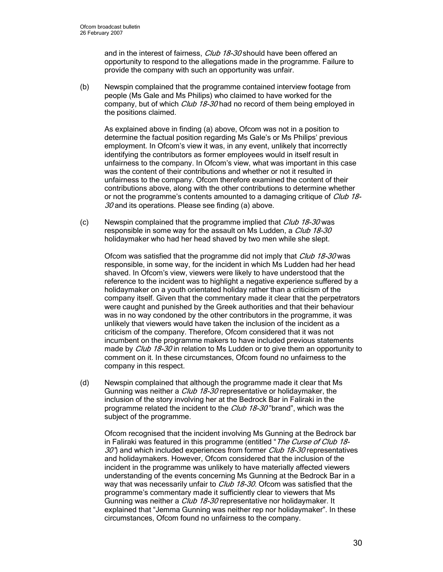and in the interest of fairness, *Club 18-30* should have been offered an opportunity to respond to the allegations made in the programme. Failure to provide the company with such an opportunity was unfair.

(b) Newspin complained that the programme contained interview footage from people (Ms Gale and Ms Philips) who claimed to have worked for the company, but of which Club 18-30 had no record of them being employed in the positions claimed.

As explained above in finding (a) above, Ofcom was not in a position to determine the factual position regarding Ms Gale's or Ms Philips' previous employment. In Ofcom's view it was, in any event, unlikely that incorrectly identifying the contributors as former employees would in itself result in unfairness to the company. In Ofcom's view, what was important in this case was the content of their contributions and whether or not it resulted in unfairness to the company. Ofcom therefore examined the content of their contributions above, along with the other contributions to determine whether or not the programme's contents amounted to a damaging critique of *Club 18*- $30$  and its operations. Please see finding (a) above.

(c) Newspin complained that the programme implied that *Club 18-30* was responsible in some way for the assault on Ms Ludden, a Club 18-30 holidaymaker who had her head shaved by two men while she slept.

Ofcom was satisfied that the programme did not imply that *Club 18-30* was responsible, in some way, for the incident in which Ms Ludden had her head shaved. In Ofcom's view, viewers were likely to have understood that the reference to the incident was to highlight a negative experience suffered by a holidaymaker on a youth orientated holiday rather than a criticism of the company itself. Given that the commentary made it clear that the perpetrators were caught and punished by the Greek authorities and that their behaviour was in no way condoned by the other contributors in the programme, it was unlikely that viewers would have taken the inclusion of the incident as a criticism of the company. Therefore, Ofcom considered that it was not incumbent on the programme makers to have included previous statements made by *Club 18-30* in relation to Ms Ludden or to give them an opportunity to comment on it. In these circumstances, Ofcom found no unfairness to the company in this respect.

(d) Newspin complained that although the programme made it clear that Ms Gunning was neither a *Club 18-30* representative or holidaymaker, the inclusion of the story involving her at the Bedrock Bar in Faliraki in the programme related the incident to the *Club 18-30* "brand", which was the subject of the programme.

Ofcom recognised that the incident involving Ms Gunning at the Bedrock bar in Faliraki was featured in this programme (entitled "The Curse of Club 18- $30"$  and which included experiences from former *Club 18-30* representatives and holidaymakers. However, Ofcom considered that the inclusion of the incident in the programme was unlikely to have materially affected viewers understanding of the events concerning Ms Gunning at the Bedrock Bar in a way that was necessarily unfair to *Club 18-30.* Ofcom was satisfied that the programme's commentary made it sufficiently clear to viewers that Ms Gunning was neither a *Club 18-30* representative nor holidaymaker. It explained that "Jemma Gunning was neither rep nor holidaymaker". In these circumstances, Ofcom found no unfairness to the company.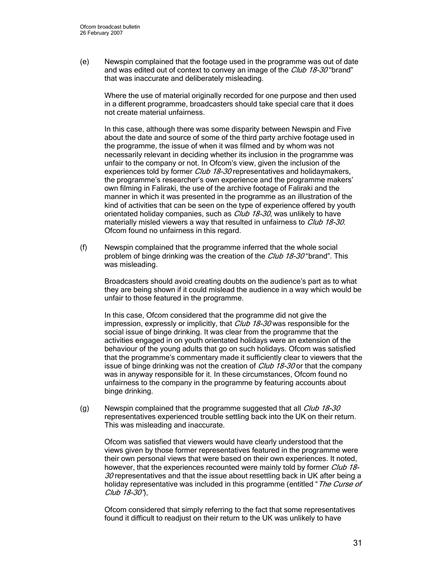(e) Newspin complained that the footage used in the programme was out of date and was edited out of context to convey an image of the *Club 18-30* "brand" that was inaccurate and deliberately misleading.

Where the use of material originally recorded for one purpose and then used in a different programme, broadcasters should take special care that it does not create material unfairness.

In this case, although there was some disparity between Newspin and Five about the date and source of some of the third party archive footage used in the programme, the issue of when it was filmed and by whom was not necessarily relevant in deciding whether its inclusion in the programme was unfair to the company or not. In Ofcom's view, given the inclusion of the experiences told by former Club 18-30 representatives and holidaymakers, the programme's researcher's own experience and the programme makers' own filming in Faliraki, the use of the archive footage of Faliraki and the manner in which it was presented in the programme as an illustration of the kind of activities that can be seen on the type of experience offered by youth orientated holiday companies, such as *Club 18-30*, was unlikely to have materially misled viewers a way that resulted in unfairness to Club 18-30. Ofcom found no unfairness in this regard.

(f) Newspin complained that the programme inferred that the whole social problem of binge drinking was the creation of the *Club 18-30* "brand". This was misleading.

Broadcasters should avoid creating doubts on the audience's part as to what they are being shown if it could mislead the audience in a way which would be unfair to those featured in the programme.

In this case, Ofcom considered that the programme did not give the impression, expressly or implicitly, that *Club 18-30* was responsible for the social issue of binge drinking. It was clear from the programme that the activities engaged in on youth orientated holidays were an extension of the behaviour of the young adults that go on such holidays. Ofcom was satisfied that the programme's commentary made it sufficiently clear to viewers that the issue of binge drinking was not the creation of *Club 18-30* or that the company was in anyway responsible for it. In these circumstances, Ofcom found no unfairness to the company in the programme by featuring accounts about binge drinking.

(g) Newspin complained that the programme suggested that all  $\mathit{Club}\$  18-30 representatives experienced trouble settling back into the UK on their return. This was misleading and inaccurate.

Ofcom was satisfied that viewers would have clearly understood that the views given by those former representatives featured in the programme were their own personal views that were based on their own experiences. It noted, however, that the experiences recounted were mainly told by former Club 18- $30$  representatives and that the issue about resettling back in UK after being a holiday representative was included in this programme (entitled "The Curse of Club 18-30"),

Ofcom considered that simply referring to the fact that some representatives found it difficult to readjust on their return to the UK was unlikely to have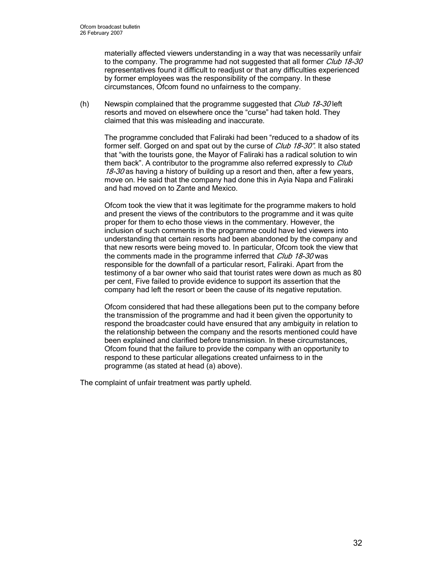materially affected viewers understanding in a way that was necessarily unfair to the company. The programme had not suggested that all former Club 18-30 representatives found it difficult to readjust or that any difficulties experienced by former employees was the responsibility of the company. In these circumstances, Ofcom found no unfairness to the company.

(h) Newspin complained that the programme suggested that  $\mathit{Club}\ 18-30$  left resorts and moved on elsewhere once the "curse" had taken hold. They claimed that this was misleading and inaccurate.

The programme concluded that Faliraki had been "reduced to a shadow of its former self. Gorged on and spat out by the curse of *Club 18-30*". It also stated that "with the tourists gone, the Mayor of Faliraki has a radical solution to win them back". A contributor to the programme also referred expressly to Club 18-30 as having a history of building up a resort and then, after a few years, move on. He said that the company had done this in Ayia Napa and Faliraki and had moved on to Zante and Mexico.

Ofcom took the view that it was legitimate for the programme makers to hold and present the views of the contributors to the programme and it was quite proper for them to echo those views in the commentary. However, the inclusion of such comments in the programme could have led viewers into understanding that certain resorts had been abandoned by the company and that new resorts were being moved to. In particular, Ofcom took the view that the comments made in the programme inferred that Club 18-30 was responsible for the downfall of a particular resort, Faliraki. Apart from the testimony of a bar owner who said that tourist rates were down as much as 80 per cent, Five failed to provide evidence to support its assertion that the company had left the resort or been the cause of its negative reputation.

Ofcom considered that had these allegations been put to the company before the transmission of the programme and had it been given the opportunity to respond the broadcaster could have ensured that any ambiguity in relation to the relationship between the company and the resorts mentioned could have been explained and clarified before transmission. In these circumstances, Ofcom found that the failure to provide the company with an opportunity to respond to these particular allegations created unfairness to in the programme (as stated at head (a) above).

The complaint of unfair treatment was partly upheld.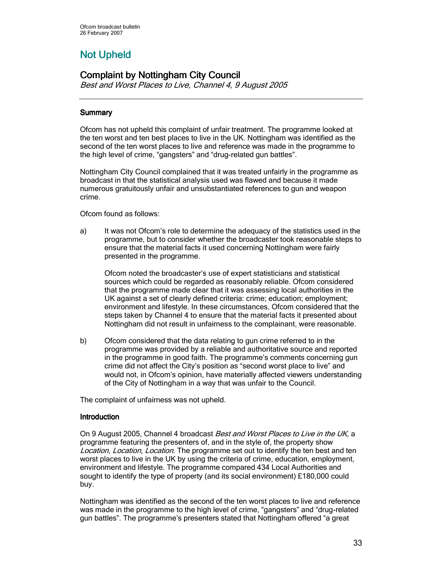# **Not Upheld**

# **Complaint by Nottingham City Council**

Best and Worst Places to Live, Channel 4, 9 August 2005

# **Summary**

Ofcom has not upheld this complaint of unfair treatment. The programme looked at the ten worst and ten best places to live in the UK. Nottingham was identified as the second of the ten worst places to live and reference was made in the programme to the high level of crime, "gangsters" and "drug-related gun battles".

Nottingham City Council complained that it was treated unfairly in the programme as broadcast in that the statistical analysis used was flawed and because it made numerous gratuitously unfair and unsubstantiated references to gun and weapon crime.

Ofcom found as follows:

a) It was not Ofcom's role to determine the adequacy of the statistics used in the programme, but to consider whether the broadcaster took reasonable steps to ensure that the material facts it used concerning Nottingham were fairly presented in the programme.

Ofcom noted the broadcaster's use of expert statisticians and statistical sources which could be regarded as reasonably reliable. Ofcom considered that the programme made clear that it was assessing local authorities in the UK against a set of clearly defined criteria: crime; education; employment; environment and lifestyle. In these circumstances, Ofcom considered that the steps taken by Channel 4 to ensure that the material facts it presented about Nottingham did not result in unfairness to the complainant, were reasonable.

b) Ofcom considered that the data relating to gun crime referred to in the programme was provided by a reliable and authoritative source and reported in the programme in good faith. The programme's comments concerning gun crime did not affect the City's position as "second worst place to live" and would not, in Ofcom's opinion, have materially affected viewers understanding of the City of Nottingham in a way that was unfair to the Council.

The complaint of unfairness was not upheld.

## **Introduction**

On 9 August 2005, Channel 4 broadcast *Best and Worst Places to Live in the UK*, a programme featuring the presenters of, and in the style of, the property show Location, Location, Location. The programme set out to identify the ten best and ten worst places to live in the UK by using the criteria of crime, education, employment, environment and lifestyle. The programme compared 434 Local Authorities and sought to identify the type of property (and its social environment) £180,000 could buy.

Nottingham was identified as the second of the ten worst places to live and reference was made in the programme to the high level of crime, "gangsters" and "drug-related gun battles". The programme's presenters stated that Nottingham offered "a great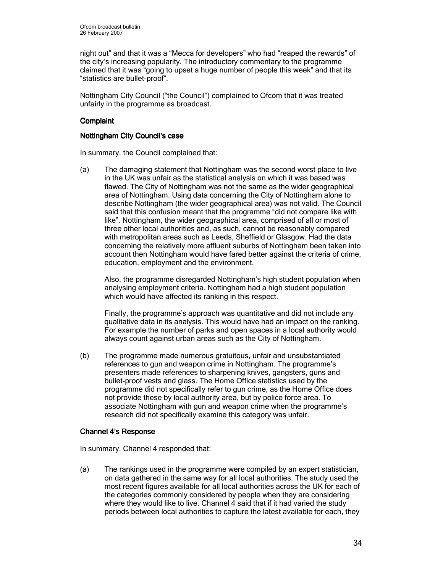night out" and that it was a "Mecca for developers" who had "reaped the rewards" of the city's increasing popularity. The introductory commentary to the programme claimed that it was "going to upset a huge number of people this week" and that its "statistics are bullet-proof".

Nottingham City Council ("the Council") complained to Ofcom that it was treated unfairly in the programme as broadcast.

## **Complaint**

### Nottingham City Council's case

In summary, the Council complained that:

(a) The damaging statement that Nottingham was the second worst place to live in the UK was unfair as the statistical analysis on which it was based was flawed. The City of Nottingham was not the same as the wider geographical area of Nottingham. Using data concerning the City of Nottingham alone to describe Nottingham (the wider geographical area) was not valid. The Council said that this confusion meant that the programme "did not compare like with like". Nottingham, the wider geographical area, comprised of all or most of three other local authorities and, as such, cannot be reasonably compared with metropolitan areas such as Leeds, Sheffield or Glasgow. Had the data concerning the relatively more affluent suburbs of Nottingham been taken into account then Nottingham would have fared better against the criteria of crime, education, employment and the environment.

Also, the programme disregarded Nottingham's high student population when analysing employment criteria. Nottingham had a high student population which would have affected its ranking in this respect.

Finally, the programme's approach was quantitative and did not include any qualitative data in its analysis. This would have had an impact on the ranking. For example the number of parks and open spaces in a local authority would always count against urban areas such as the City of Nottingham.

(b) The programme made numerous gratuitous, unfair and unsubstantiated references to gun and weapon crime in Nottingham. The programme's presenters made references to sharpening knives, gangsters, guns and bullet-proof vests and glass. The Home Office statistics used by the programme did not specifically refer to gun crime, as the Home Office does not provide these by local authority area, but by police force area. To associate Nottingham with gun and weapon crime when the programme's research did not specifically examine this category was unfair.

### Channel 4's Response

In summary, Channel 4 responded that:

(a) The rankings used in the programme were compiled by an expert statistician, on data gathered in the same way for all local authorities. The study used the most recent figures available for all local authorities across the UK for each of the categories commonly considered by people when they are considering where they would like to live. Channel 4 said that if it had varied the study periods between local authorities to capture the latest available for each, they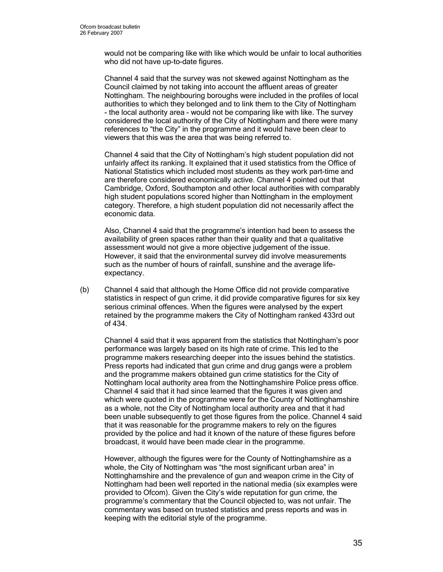would not be comparing like with like which would be unfair to local authorities who did not have up-to-date figures.

Channel 4 said that the survey was not skewed against Nottingham as the Council claimed by not taking into account the affluent areas of greater Nottingham. The neighbouring boroughs were included in the profiles of local authorities to which they belonged and to link them to the City of Nottingham - the local authority area - would not be comparing like with like. The survey considered the local authority of the City of Nottingham and there were many references to "the City" in the programme and it would have been clear to viewers that this was the area that was being referred to.

Channel 4 said that the City of Nottingham's high student population did not unfairly affect its ranking. It explained that it used statistics from the Office of National Statistics which included most students as they work part-time and are therefore considered economically active. Channel 4 pointed out that Cambridge, Oxford, Southampton and other local authorities with comparably high student populations scored higher than Nottingham in the employment category. Therefore, a high student population did not necessarily affect the economic data.

Also, Channel 4 said that the programme's intention had been to assess the availability of green spaces rather than their quality and that a qualitative assessment would not give a more objective judgement of the issue. However, it said that the environmental survey did involve measurements such as the number of hours of rainfall, sunshine and the average lifeexpectancy.

(b) Channel 4 said that although the Home Office did not provide comparative statistics in respect of gun crime, it did provide comparative figures for six key serious criminal offences. When the figures were analysed by the expert retained by the programme makers the City of Nottingham ranked 433rd out of 434.

Channel 4 said that it was apparent from the statistics that Nottingham's poor performance was largely based on its high rate of crime. This led to the programme makers researching deeper into the issues behind the statistics. Press reports had indicated that gun crime and drug gangs were a problem and the programme makers obtained gun crime statistics for the City of Nottingham local authority area from the Nottinghamshire Police press office. Channel 4 said that it had since learned that the figures it was given and which were quoted in the programme were for the County of Nottinghamshire as a whole, not the City of Nottingham local authority area and that it had been unable subsequently to get those figures from the police. Channel 4 said that it was reasonable for the programme makers to rely on the figures provided by the police and had it known of the nature of these figures before broadcast, it would have been made clear in the programme.

However, although the figures were for the County of Nottinghamshire as a whole, the City of Nottingham was "the most significant urban area" in Nottinghamshire and the prevalence of gun and weapon crime in the City of Nottingham had been well reported in the national media (six examples were provided to Ofcom). Given the City's wide reputation for gun crime, the programme's commentary that the Council objected to, was not unfair. The commentary was based on trusted statistics and press reports and was in keeping with the editorial style of the programme.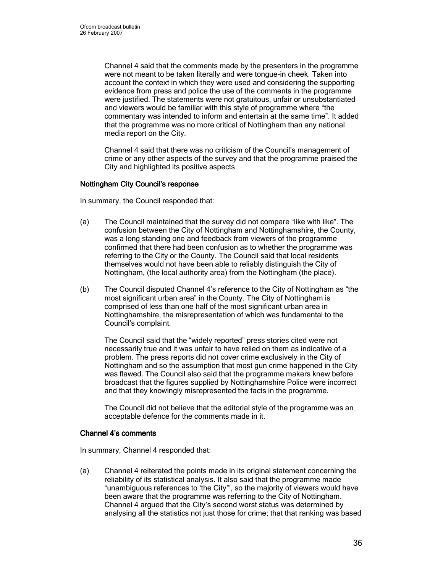Channel 4 said that the comments made by the presenters in the programme were not meant to be taken literally and were tongue-in cheek. Taken into account the context in which they were used and considering the supporting evidence from press and police the use of the comments in the programme were justified. The statements were not gratuitous, unfair or unsubstantiated and viewers would be familiar with this style of programme where "the commentary was intended to inform and entertain at the same time". It added that the programme was no more critical of Nottingham than any national media report on the City.

Channel 4 said that there was no criticism of the Council's management of crime or any other aspects of the survey and that the programme praised the City and highlighted its positive aspects.

## Nottingham City Council's response

In summary, the Council responded that:

- (a) The Council maintained that the survey did not compare "like with like". The confusion between the City of Nottingham and Nottinghamshire, the County, was a long standing one and feedback from viewers of the programme confirmed that there had been confusion as to whether the programme was referring to the City or the County. The Council said that local residents themselves would not have been able to reliably distinguish the City of Nottingham, (the local authority area) from the Nottingham (the place).
- (b) The Council disputed Channel 4's reference to the City of Nottingham as "the most significant urban area" in the County. The City of Nottingham is comprised of less than one half of the most significant urban area in Nottinghamshire, the misrepresentation of which was fundamental to the Council's complaint.

The Council said that the "widely reported" press stories cited were not necessarily true and it was unfair to have relied on them as indicative of a problem. The press reports did not cover crime exclusively in the City of Nottingham and so the assumption that most gun crime happened in the City was flawed. The Council also said that the programme makers knew before broadcast that the figures supplied by Nottinghamshire Police were incorrect and that they knowingly misrepresented the facts in the programme.

The Council did not believe that the editorial style of the programme was an acceptable defence for the comments made in it.

### Channel 4's comments

In summary, Channel 4 responded that:

(a) Channel 4 reiterated the points made in its original statement concerning the reliability of its statistical analysis. It also said that the programme made "unambiguous references to 'the City'", so the majority of viewers would have been aware that the programme was referring to the City of Nottingham. Channel 4 argued that the City's second worst status was determined by analysing all the statistics not just those for crime; that that ranking was based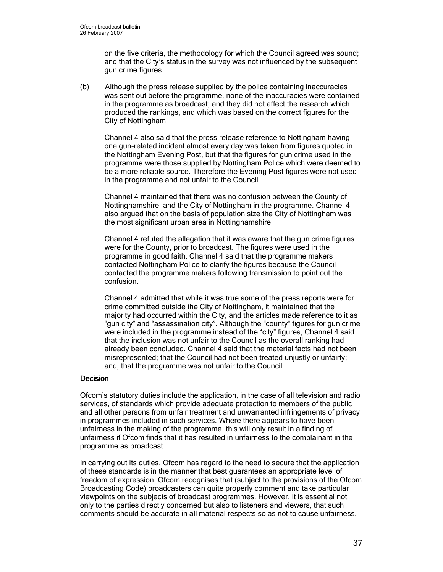on the five criteria, the methodology for which the Council agreed was sound; and that the City's status in the survey was not influenced by the subsequent gun crime figures.

(b) Although the press release supplied by the police containing inaccuracies was sent out before the programme, none of the inaccuracies were contained in the programme as broadcast; and they did not affect the research which produced the rankings, and which was based on the correct figures for the City of Nottingham.

Channel 4 also said that the press release reference to Nottingham having one gun-related incident almost every day was taken from figures quoted in the Nottingham Evening Post, but that the figures for gun crime used in the programme were those supplied by Nottingham Police which were deemed to be a more reliable source. Therefore the Evening Post figures were not used in the programme and not unfair to the Council.

Channel 4 maintained that there was no confusion between the County of Nottinghamshire, and the City of Nottingham in the programme. Channel 4 also argued that on the basis of population size the City of Nottingham was the most significant urban area in Nottinghamshire.

Channel 4 refuted the allegation that it was aware that the gun crime figures were for the County, prior to broadcast. The figures were used in the programme in good faith. Channel 4 said that the programme makers contacted Nottingham Police to clarify the figures because the Council contacted the programme makers following transmission to point out the confusion.

Channel 4 admitted that while it was true some of the press reports were for crime committed outside the City of Nottingham, it maintained that the majority had occurred within the City, and the articles made reference to it as "gun city" and "assassination city". Although the "county" figures for gun crime were included in the programme instead of the "city" figures, Channel 4 said that the inclusion was not unfair to the Council as the overall ranking had already been concluded. Channel 4 said that the material facts had not been misrepresented; that the Council had not been treated unjustly or unfairly; and, that the programme was not unfair to the Council.

## **Decision**

Ofcom's statutory duties include the application, in the case of all television and radio services, of standards which provide adequate protection to members of the public and all other persons from unfair treatment and unwarranted infringements of privacy in programmes included in such services. Where there appears to have been unfairness in the making of the programme, this will only result in a finding of unfairness if Ofcom finds that it has resulted in unfairness to the complainant in the programme as broadcast.

In carrying out its duties, Ofcom has regard to the need to secure that the application of these standards is in the manner that best guarantees an appropriate level of freedom of expression. Ofcom recognises that (subject to the provisions of the Ofcom Broadcasting Code) broadcasters can quite properly comment and take particular viewpoints on the subjects of broadcast programmes. However, it is essential not only to the parties directly concerned but also to listeners and viewers, that such comments should be accurate in all material respects so as not to cause unfairness.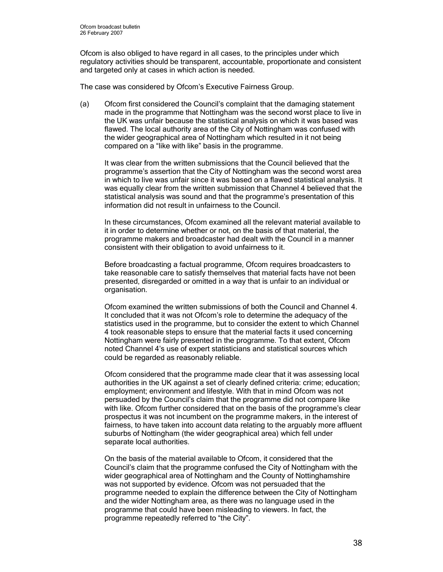Ofcom is also obliged to have regard in all cases, to the principles under which regulatory activities should be transparent, accountable, proportionate and consistent and targeted only at cases in which action is needed.

The case was considered by Ofcom's Executive Fairness Group.

(a) Ofcom first considered the Council's complaint that the damaging statement made in the programme that Nottingham was the second worst place to live in the UK was unfair because the statistical analysis on which it was based was flawed. The local authority area of the City of Nottingham was confused with the wider geographical area of Nottingham which resulted in it not being compared on a "like with like" basis in the programme.

It was clear from the written submissions that the Council believed that the programme's assertion that the City of Nottingham was the second worst area in which to live was unfair since it was based on a flawed statistical analysis. It was equally clear from the written submission that Channel 4 believed that the statistical analysis was sound and that the programme's presentation of this information did not result in unfairness to the Council.

In these circumstances, Ofcom examined all the relevant material available to it in order to determine whether or not, on the basis of that material, the programme makers and broadcaster had dealt with the Council in a manner consistent with their obligation to avoid unfairness to it.

Before broadcasting a factual programme, Ofcom requires broadcasters to take reasonable care to satisfy themselves that material facts have not been presented, disregarded or omitted in a way that is unfair to an individual or organisation.

Ofcom examined the written submissions of both the Council and Channel 4. It concluded that it was not Ofcom's role to determine the adequacy of the statistics used in the programme, but to consider the extent to which Channel 4 took reasonable steps to ensure that the material facts it used concerning Nottingham were fairly presented in the programme. To that extent, Ofcom noted Channel 4's use of expert statisticians and statistical sources which could be regarded as reasonably reliable.

Ofcom considered that the programme made clear that it was assessing local authorities in the UK against a set of clearly defined criteria: crime; education; employment; environment and lifestyle. With that in mind Ofcom was not persuaded by the Council's claim that the programme did not compare like with like. Ofcom further considered that on the basis of the programme's clear prospectus it was not incumbent on the programme makers, in the interest of fairness, to have taken into account data relating to the arguably more affluent suburbs of Nottingham (the wider geographical area) which fell under separate local authorities.

On the basis of the material available to Ofcom, it considered that the Council's claim that the programme confused the City of Nottingham with the wider geographical area of Nottingham and the County of Nottinghamshire was not supported by evidence. Ofcom was not persuaded that the programme needed to explain the difference between the City of Nottingham and the wider Nottingham area, as there was no language used in the programme that could have been misleading to viewers. In fact, the programme repeatedly referred to "the City".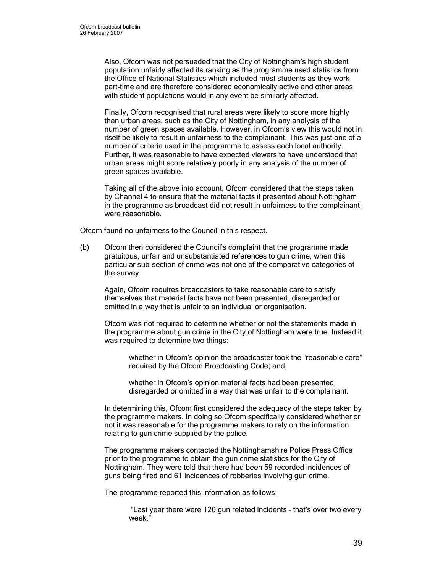Also, Ofcom was not persuaded that the City of Nottingham's high student population unfairly affected its ranking as the programme used statistics from the Office of National Statistics which included most students as they work part-time and are therefore considered economically active and other areas with student populations would in any event be similarly affected.

Finally, Ofcom recognised that rural areas were likely to score more highly than urban areas, such as the City of Nottingham, in any analysis of the number of green spaces available. However, in Ofcom's view this would not in itself be likely to result in unfairness to the complainant. This was just one of a number of criteria used in the programme to assess each local authority. Further, it was reasonable to have expected viewers to have understood that urban areas might score relatively poorly in any analysis of the number of green spaces available.

Taking all of the above into account, Ofcom considered that the steps taken by Channel 4 to ensure that the material facts it presented about Nottingham in the programme as broadcast did not result in unfairness to the complainant, were reasonable.

Ofcom found no unfairness to the Council in this respect.

(b) Ofcom then considered the Council's complaint that the programme made gratuitous, unfair and unsubstantiated references to gun crime, when this particular sub-section of crime was not one of the comparative categories of the survey.

Again, Ofcom requires broadcasters to take reasonable care to satisfy themselves that material facts have not been presented, disregarded or omitted in a way that is unfair to an individual or organisation.

Ofcom was not required to determine whether or not the statements made in the programme about gun crime in the City of Nottingham were true. Instead it was required to determine two things:

whether in Ofcom's opinion the broadcaster took the "reasonable care" required by the Ofcom Broadcasting Code; and,

whether in Ofcom's opinion material facts had been presented, disregarded or omitted in a way that was unfair to the complainant.

In determining this, Ofcom first considered the adequacy of the steps taken by the programme makers. In doing so Ofcom specifically considered whether or not it was reasonable for the programme makers to rely on the information relating to gun crime supplied by the police.

The programme makers contacted the Nottinghamshire Police Press Office prior to the programme to obtain the gun crime statistics for the City of Nottingham. They were told that there had been 59 recorded incidences of guns being fired and 61 incidences of robberies involving gun crime.

The programme reported this information as follows:

 "Last year there were 120 gun related incidents – that's over two every week."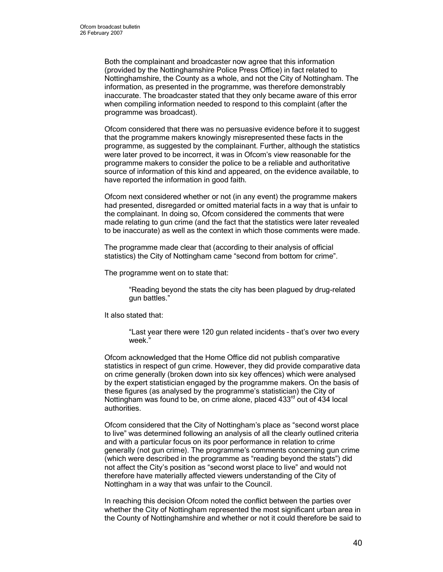Both the complainant and broadcaster now agree that this information (provided by the Nottinghamshire Police Press Office) in fact related to Nottinghamshire, the County as a whole, and not the City of Nottingham. The information, as presented in the programme, was therefore demonstrably inaccurate. The broadcaster stated that they only became aware of this error when compiling information needed to respond to this complaint (after the programme was broadcast).

Ofcom considered that there was no persuasive evidence before it to suggest that the programme makers knowingly misrepresented these facts in the programme, as suggested by the complainant. Further, although the statistics were later proved to be incorrect, it was in Ofcom's view reasonable for the programme makers to consider the police to be a reliable and authoritative source of information of this kind and appeared, on the evidence available, to have reported the information in good faith.

Ofcom next considered whether or not (in any event) the programme makers had presented, disregarded or omitted material facts in a way that is unfair to the complainant. In doing so, Ofcom considered the comments that were made relating to gun crime (and the fact that the statistics were later revealed to be inaccurate) as well as the context in which those comments were made.

The programme made clear that (according to their analysis of official statistics) the City of Nottingham came "second from bottom for crime".

The programme went on to state that:

"Reading beyond the stats the city has been plagued by drug-related gun battles."

It also stated that:

"Last year there were 120 gun related incidents – that's over two every week."

Ofcom acknowledged that the Home Office did not publish comparative statistics in respect of gun crime. However, they did provide comparative data on crime generally (broken down into six key offences) which were analysed by the expert statistician engaged by the programme makers. On the basis of these figures (as analysed by the programme's statistician) the City of Nottingham was found to be, on crime alone, placed  $433<sup>rd</sup>$  out of 434 local authorities.

Ofcom considered that the City of Nottingham's place as "second worst place to live" was determined following an analysis of all the clearly outlined criteria and with a particular focus on its poor performance in relation to crime generally (not gun crime). The programme's comments concerning gun crime (which were described in the programme as "reading beyond the stats") did not affect the City's position as "second worst place to live" and would not therefore have materially affected viewers understanding of the City of Nottingham in a way that was unfair to the Council.

In reaching this decision Ofcom noted the conflict between the parties over whether the City of Nottingham represented the most significant urban area in the County of Nottinghamshire and whether or not it could therefore be said to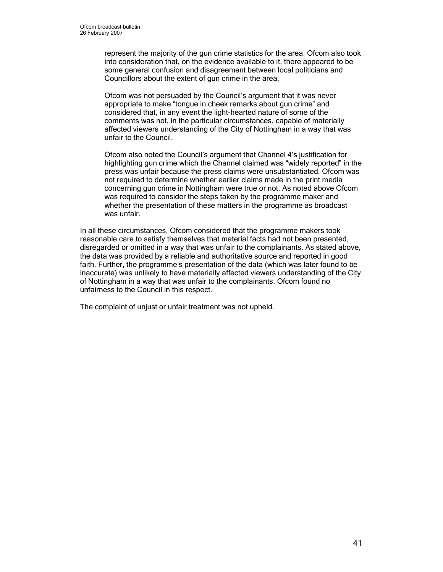represent the majority of the gun crime statistics for the area. Ofcom also took into consideration that, on the evidence available to it, there appeared to be some general confusion and disagreement between local politicians and Councillors about the extent of gun crime in the area.

Ofcom was not persuaded by the Council's argument that it was never appropriate to make "tongue in cheek remarks about gun crime" and considered that, in any event the light-hearted nature of some of the comments was not, in the particular circumstances, capable of materially affected viewers understanding of the City of Nottingham in a way that was unfair to the Council.

Ofcom also noted the Council's argument that Channel 4's justification for highlighting gun crime which the Channel claimed was "widely reported" in the press was unfair because the press claims were unsubstantiated. Ofcom was not required to determine whether earlier claims made in the print media concerning gun crime in Nottingham were true or not. As noted above Ofcom was required to consider the steps taken by the programme maker and whether the presentation of these matters in the programme as broadcast was unfair.

In all these circumstances, Ofcom considered that the programme makers took reasonable care to satisfy themselves that material facts had not been presented, disregarded or omitted in a way that was unfair to the complainants. As stated above, the data was provided by a reliable and authoritative source and reported in good faith. Further, the programme's presentation of the data (which was later found to be inaccurate) was unlikely to have materially affected viewers understanding of the City of Nottingham in a way that was unfair to the complainants. Ofcom found no unfairness to the Council in this respect.

The complaint of unjust or unfair treatment was not upheld.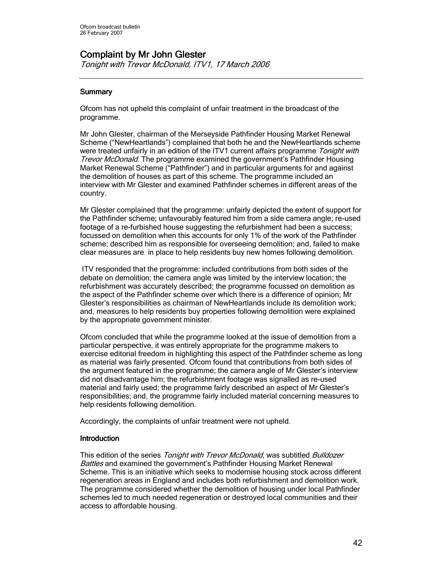# Complaint by Mr John Glester

Tonight with Trevor McDonald, ITV1, 17 March 2006

# **Summary**

Ofcom has not upheld this complaint of unfair treatment in the broadcast of the programme.

Mr John Glester, chairman of the Merseyside Pathfinder Housing Market Renewal Scheme ("NewHeartlands") complained that both he and the NewHeartlands scheme were treated unfairly in an edition of the ITV1 current affairs programme Tonight with **Trevor McDonald.** The programme examined the government's Pathfinder Housing Market Renewal Scheme ("Pathfinder") and in particular arguments for and against the demolition of houses as part of this scheme. The programme included an interview with Mr Glester and examined Pathfinder schemes in different areas of the country.

Mr Glester complained that the programme: unfairly depicted the extent of support for the Pathfinder scheme; unfavourably featured him from a side camera angle; re-used footage of a re-furbished house suggesting the refurbishment had been a success; focussed on demolition when this accounts for only 1% of the work of the Pathfinder scheme; described him as responsible for overseeing demolition; and, failed to make clear measures are in place to help residents buy new homes following demolition.

 ITV responded that the programme: included contributions from both sides of the debate on demolition; the camera angle was limited by the interview location; the refurbishment was accurately described; the programme focussed on demolition as the aspect of the Pathfinder scheme over which there is a difference of opinion; Mr Glester's responsibilities as chairman of NewHeartlands include its demolition work; and, measures to help residents buy properties following demolition were explained by the appropriate government minister.

Ofcom concluded that while the programme looked at the issue of demolition from a particular perspective, it was entirely appropriate for the programme makers to exercise editorial freedom in highlighting this aspect of the Pathfinder scheme as long as material was fairly presented. Ofcom found that contributions from both sides of the argument featured in the programme; the camera angle of Mr Glester's interview did not disadvantage him; the refurbishment footage was signalled as re-used material and fairly used; the programme fairly described an aspect of Mr Glester's responsibilities; and, the programme fairly included material concerning measures to help residents following demolition.

Accordingly, the complaints of unfair treatment were not upheld.

### **Introduction**

This edition of the series Tonight with Trevor McDonald, was subtitled Bulldozer Battles and examined the government's Pathfinder Housing Market Renewal Scheme. This is an initiative which seeks to modernise housing stock across different regeneration areas in England and includes both refurbishment and demolition work. The programme considered whether the demolition of housing under local Pathfinder schemes led to much needed regeneration or destroyed local communities and their access to affordable housing.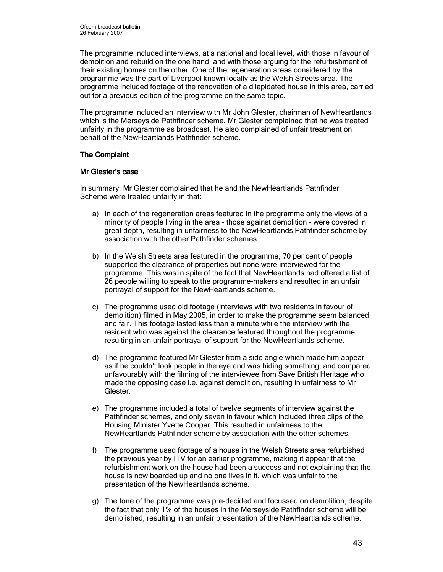The programme included interviews, at a national and local level, with those in favour of demolition and rebuild on the one hand, and with those arguing for the refurbishment of their existing homes on the other. One of the regeneration areas considered by the programme was the part of Liverpool known locally as the Welsh Streets area. The programme included footage of the renovation of a dilapidated house in this area, carried out for a previous edition of the programme on the same topic.

The programme included an interview with Mr John Glester, chairman of NewHeartlands which is the Merseyside Pathfinder scheme. Mr Glester complained that he was treated unfairly in the programme as broadcast. He also complained of unfair treatment on behalf of the NewHeartlands Pathfinder scheme.

## **The Complaint**

### Mr Glester's case

In summary, Mr Glester complained that he and the NewHeartlands Pathfinder Scheme were treated unfairly in that:

- a) In each of the regeneration areas featured in the programme only the views of a minority of people living in the area - those against demolition - were covered in great depth, resulting in unfairness to the NewHeartlands Pathfinder scheme by association with the other Pathfinder schemes.
- b) In the Welsh Streets area featured in the programme, 70 per cent of people supported the clearance of properties but none were interviewed for the programme. This was in spite of the fact that NewHeartlands had offered a list of 26 people willing to speak to the programme-makers and resulted in an unfair portrayal of support for the NewHeartlands scheme.
- c) The programme used old footage (interviews with two residents in favour of demolition) filmed in May 2005, in order to make the programme seem balanced and fair. This footage lasted less than a minute while the interview with the resident who was against the clearance featured throughout the programme resulting in an unfair portrayal of support for the NewHeartlands scheme.
- d) The programme featured Mr Glester from a side angle which made him appear as if he couldn't look people in the eye and was hiding something, and compared unfavourably with the filming of the interviewee from Save British Heritage who made the opposing case i.e. against demolition, resulting in unfairness to Mr Glester.
- e) The programme included a total of twelve segments of interview against the Pathfinder schemes, and only seven in favour which included three clips of the Housing Minister Yvette Cooper. This resulted in unfairness to the NewHeartlands Pathfinder scheme by association with the other schemes.
- f) The programme used footage of a house in the Welsh Streets area refurbished the previous year by ITV for an earlier programme, making it appear that the refurbishment work on the house had been a success and not explaining that the house is now boarded up and no one lives in it, which was unfair to the presentation of the NewHeartlands scheme.
- g) The tone of the programme was pre-decided and focussed on demolition, despite the fact that only 1% of the houses in the Merseyside Pathfinder scheme will be demolished, resulting in an unfair presentation of the NewHeartlands scheme.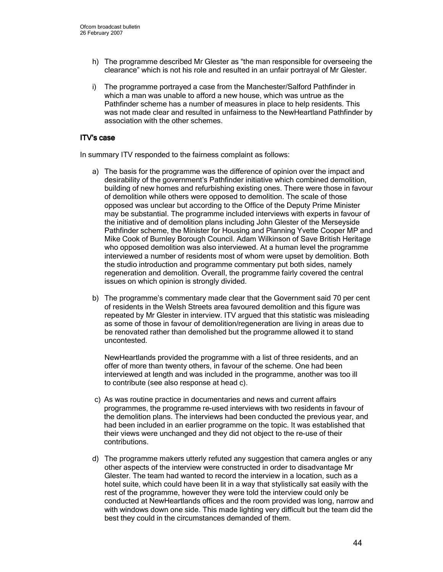- h) The programme described Mr Glester as "the man responsible for overseeing the clearance" which is not his role and resulted in an unfair portrayal of Mr Glester.
- i) The programme portrayed a case from the Manchester/Salford Pathfinder in which a man was unable to afford a new house, which was untrue as the Pathfinder scheme has a number of measures in place to help residents. This was not made clear and resulted in unfairness to the NewHeartland Pathfinder by association with the other schemes.

### ITV's case

In summary ITV responded to the fairness complaint as follows:

- a) The basis for the programme was the difference of opinion over the impact and desirability of the government's Pathfinder initiative which combined demolition, building of new homes and refurbishing existing ones. There were those in favour of demolition while others were opposed to demolition. The scale of those opposed was unclear but according to the Office of the Deputy Prime Minister may be substantial. The programme included interviews with experts in favour of the initiative and of demolition plans including John Glester of the Merseyside Pathfinder scheme, the Minister for Housing and Planning Yvette Cooper MP and Mike Cook of Burnley Borough Council. Adam Wilkinson of Save British Heritage who opposed demolition was also interviewed. At a human level the programme interviewed a number of residents most of whom were upset by demolition. Both the studio introduction and programme commentary put both sides, namely regeneration and demolition. Overall, the programme fairly covered the central issues on which opinion is strongly divided.
- b) The programme's commentary made clear that the Government said 70 per cent of residents in the Welsh Streets area favoured demolition and this figure was repeated by Mr Glester in interview. ITV argued that this statistic was misleading as some of those in favour of demolition/regeneration are living in areas due to be renovated rather than demolished but the programme allowed it to stand uncontested.

NewHeartlands provided the programme with a list of three residents, and an offer of more than twenty others, in favour of the scheme. One had been interviewed at length and was included in the programme, another was too ill to contribute (see also response at head c).

- c) As was routine practice in documentaries and news and current affairs programmes, the programme re-used interviews with two residents in favour of the demolition plans. The interviews had been conducted the previous year, and had been included in an earlier programme on the topic. It was established that their views were unchanged and they did not object to the re-use of their contributions.
- d) The programme makers utterly refuted any suggestion that camera angles or any other aspects of the interview were constructed in order to disadvantage Mr Glester. The team had wanted to record the interview in a location, such as a hotel suite, which could have been lit in a way that stylistically sat easily with the rest of the programme, however they were told the interview could only be conducted at NewHeartlands offices and the room provided was long, narrow and with windows down one side. This made lighting very difficult but the team did the best they could in the circumstances demanded of them.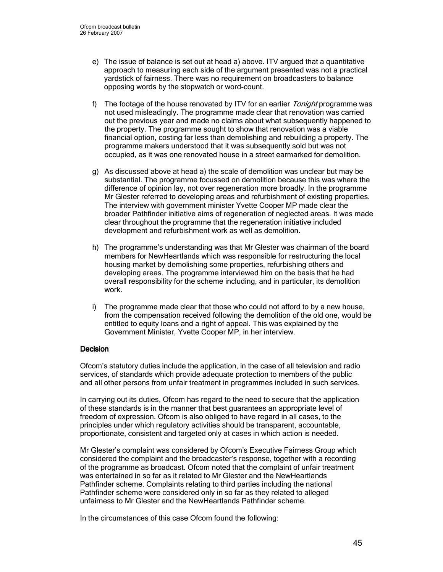- e) The issue of balance is set out at head a) above. ITV argued that a quantitative approach to measuring each side of the argument presented was not a practical yardstick of fairness. There was no requirement on broadcasters to balance opposing words by the stopwatch or word-count.
- f) The footage of the house renovated by ITV for an earlier *Tonight* programme was not used misleadingly. The programme made clear that renovation was carried out the previous year and made no claims about what subsequently happened to the property. The programme sought to show that renovation was a viable financial option, costing far less than demolishing and rebuilding a property. The programme makers understood that it was subsequently sold but was not occupied, as it was one renovated house in a street earmarked for demolition.
- g) As discussed above at head a) the scale of demolition was unclear but may be substantial. The programme focussed on demolition because this was where the difference of opinion lay, not over regeneration more broadly. In the programme Mr Glester referred to developing areas and refurbishment of existing properties. The interview with government minister Yvette Cooper MP made clear the broader Pathfinder initiative aims of regeneration of neglected areas. It was made clear throughout the programme that the regeneration initiative included development and refurbishment work as well as demolition.
- h) The programme's understanding was that Mr Glester was chairman of the board members for NewHeartlands which was responsible for restructuring the local housing market by demolishing some properties, refurbishing others and developing areas. The programme interviewed him on the basis that he had overall responsibility for the scheme including, and in particular, its demolition work.
- i) The programme made clear that those who could not afford to by a new house, from the compensation received following the demolition of the old one, would be entitled to equity loans and a right of appeal. This was explained by the Government Minister, Yvette Cooper MP, in her interview.

### **Decision**

Ofcom's statutory duties include the application, in the case of all television and radio services, of standards which provide adequate protection to members of the public and all other persons from unfair treatment in programmes included in such services.

In carrying out its duties, Ofcom has regard to the need to secure that the application of these standards is in the manner that best guarantees an appropriate level of freedom of expression. Ofcom is also obliged to have regard in all cases, to the principles under which regulatory activities should be transparent, accountable, proportionate, consistent and targeted only at cases in which action is needed.

Mr Glester's complaint was considered by Ofcom's Executive Fairness Group which considered the complaint and the broadcaster's response, together with a recording of the programme as broadcast. Ofcom noted that the complaint of unfair treatment was entertained in so far as it related to Mr Glester and the NewHeartlands Pathfinder scheme. Complaints relating to third parties including the national Pathfinder scheme were considered only in so far as they related to alleged unfairness to Mr Glester and the NewHeartlands Pathfinder scheme.

In the circumstances of this case Ofcom found the following: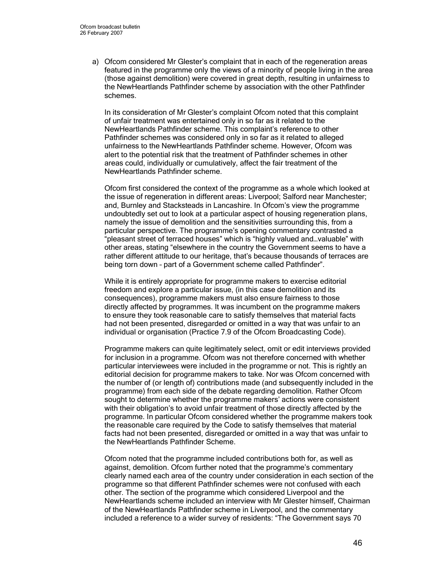a) Ofcom considered Mr Glester's complaint that in each of the regeneration areas featured in the programme only the views of a minority of people living in the area (those against demolition) were covered in great depth, resulting in unfairness to the NewHeartlands Pathfinder scheme by association with the other Pathfinder schemes.

In its consideration of Mr Glester's complaint Ofcom noted that this complaint of unfair treatment was entertained only in so far as it related to the NewHeartlands Pathfinder scheme. This complaint's reference to other Pathfinder schemes was considered only in so far as it related to alleged unfairness to the NewHeartlands Pathfinder scheme. However, Ofcom was alert to the potential risk that the treatment of Pathfinder schemes in other areas could, individually or cumulatively, affect the fair treatment of the NewHeartlands Pathfinder scheme.

Ofcom first considered the context of the programme as a whole which looked at the issue of regeneration in different areas: Liverpool; Salford near Manchester; and, Burnley and Stacksteads in Lancashire. In Ofcom's view the programme undoubtedly set out to look at a particular aspect of housing regeneration plans, namely the issue of demolition and the sensitivities surrounding this, from a particular perspective. The programme's opening commentary contrasted a "pleasant street of terraced houses" which is "highly valued and…valuable" with other areas, stating "elsewhere in the country the Government seems to have a rather different attitude to our heritage, that's because thousands of terraces are being torn down – part of a Government scheme called Pathfinder".

While it is entirely appropriate for programme makers to exercise editorial freedom and explore a particular issue, (in this case demolition and its consequences), programme makers must also ensure fairness to those directly affected by programmes. It was incumbent on the programme makers to ensure they took reasonable care to satisfy themselves that material facts had not been presented, disregarded or omitted in a way that was unfair to an individual or organisation (Practice 7.9 of the Ofcom Broadcasting Code).

Programme makers can quite legitimately select, omit or edit interviews provided for inclusion in a programme. Ofcom was not therefore concerned with whether particular interviewees were included in the programme or not. This is rightly an editorial decision for programme makers to take. Nor was Ofcom concerned with the number of (or length of) contributions made (and subsequently included in the programme) from each side of the debate regarding demolition. Rather Ofcom sought to determine whether the programme makers' actions were consistent with their obligation's to avoid unfair treatment of those directly affected by the programme. In particular Ofcom considered whether the programme makers took the reasonable care required by the Code to satisfy themselves that material facts had not been presented, disregarded or omitted in a way that was unfair to the NewHeartlands Pathfinder Scheme.

Ofcom noted that the programme included contributions both for, as well as against, demolition. Ofcom further noted that the programme's commentary clearly named each area of the country under consideration in each section of the programme so that different Pathfinder schemes were not confused with each other. The section of the programme which considered Liverpool and the NewHeartlands scheme included an interview with Mr Glester himself, Chairman of the NewHeartlands Pathfinder scheme in Liverpool, and the commentary included a reference to a wider survey of residents: "The Government says 70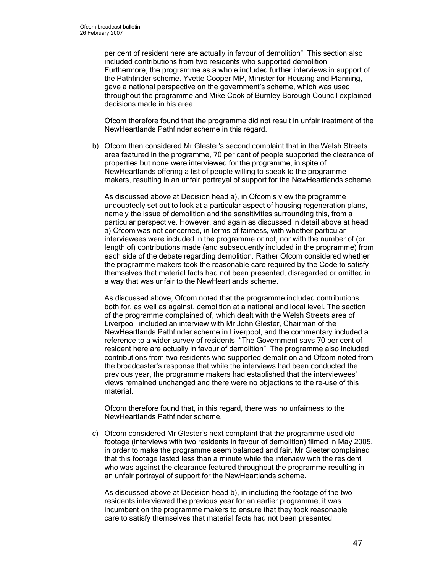per cent of resident here are actually in favour of demolition". This section also included contributions from two residents who supported demolition. Furthermore, the programme as a whole included further interviews in support of the Pathfinder scheme. Yvette Cooper MP, Minister for Housing and Planning, gave a national perspective on the government's scheme, which was used throughout the programme and Mike Cook of Burnley Borough Council explained decisions made in his area.

Ofcom therefore found that the programme did not result in unfair treatment of the NewHeartlands Pathfinder scheme in this regard.

b) Ofcom then considered Mr Glester's second complaint that in the Welsh Streets area featured in the programme, 70 per cent of people supported the clearance of properties but none were interviewed for the programme, in spite of NewHeartlands offering a list of people willing to speak to the programmemakers, resulting in an unfair portrayal of support for the NewHeartlands scheme.

As discussed above at Decision head a), in Ofcom's view the programme undoubtedly set out to look at a particular aspect of housing regeneration plans, namely the issue of demolition and the sensitivities surrounding this, from a particular perspective. However, and again as discussed in detail above at head a) Ofcom was not concerned, in terms of fairness, with whether particular interviewees were included in the programme or not, nor with the number of (or length of) contributions made (and subsequently included in the programme) from each side of the debate regarding demolition. Rather Ofcom considered whether the programme makers took the reasonable care required by the Code to satisfy themselves that material facts had not been presented, disregarded or omitted in a way that was unfair to the NewHeartlands scheme.

As discussed above, Ofcom noted that the programme included contributions both for, as well as against, demolition at a national and local level. The section of the programme complained of, which dealt with the Welsh Streets area of Liverpool, included an interview with Mr John Glester, Chairman of the NewHeartlands Pathfinder scheme in Liverpool, and the commentary included a reference to a wider survey of residents: "The Government says 70 per cent of resident here are actually in favour of demolition". The programme also included contributions from two residents who supported demolition and Ofcom noted from the broadcaster's response that while the interviews had been conducted the previous year, the programme makers had established that the interviewees' views remained unchanged and there were no objections to the re-use of this material.

Ofcom therefore found that, in this regard, there was no unfairness to the NewHeartlands Pathfinder scheme.

c) Ofcom considered Mr Glester's next complaint that the programme used old footage (interviews with two residents in favour of demolition) filmed in May 2005, in order to make the programme seem balanced and fair. Mr Glester complained that this footage lasted less than a minute while the interview with the resident who was against the clearance featured throughout the programme resulting in an unfair portrayal of support for the NewHeartlands scheme.

As discussed above at Decision head b), in including the footage of the two residents interviewed the previous year for an earlier programme, it was incumbent on the programme makers to ensure that they took reasonable care to satisfy themselves that material facts had not been presented,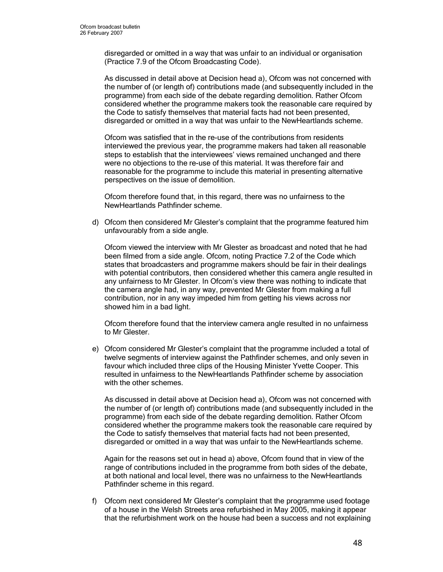disregarded or omitted in a way that was unfair to an individual or organisation (Practice 7.9 of the Ofcom Broadcasting Code).

As discussed in detail above at Decision head a), Ofcom was not concerned with the number of (or length of) contributions made (and subsequently included in the programme) from each side of the debate regarding demolition. Rather Ofcom considered whether the programme makers took the reasonable care required by the Code to satisfy themselves that material facts had not been presented, disregarded or omitted in a way that was unfair to the NewHeartlands scheme.

Ofcom was satisfied that in the re-use of the contributions from residents interviewed the previous year, the programme makers had taken all reasonable steps to establish that the interviewees' views remained unchanged and there were no objections to the re-use of this material. It was therefore fair and reasonable for the programme to include this material in presenting alternative perspectives on the issue of demolition.

Ofcom therefore found that, in this regard, there was no unfairness to the NewHeartlands Pathfinder scheme.

d) Ofcom then considered Mr Glester's complaint that the programme featured him unfavourably from a side angle.

Ofcom viewed the interview with Mr Glester as broadcast and noted that he had been filmed from a side angle. Ofcom, noting Practice 7.2 of the Code which states that broadcasters and programme makers should be fair in their dealings with potential contributors, then considered whether this camera angle resulted in any unfairness to Mr Glester. In Ofcom's view there was nothing to indicate that the camera angle had, in any way, prevented Mr Glester from making a full contribution, nor in any way impeded him from getting his views across nor showed him in a bad light.

Ofcom therefore found that the interview camera angle resulted in no unfairness to Mr Glester.

e) Ofcom considered Mr Glester's complaint that the programme included a total of twelve segments of interview against the Pathfinder schemes, and only seven in favour which included three clips of the Housing Minister Yvette Cooper. This resulted in unfairness to the NewHeartlands Pathfinder scheme by association with the other schemes.

As discussed in detail above at Decision head a), Ofcom was not concerned with the number of (or length of) contributions made (and subsequently included in the programme) from each side of the debate regarding demolition. Rather Ofcom considered whether the programme makers took the reasonable care required by the Code to satisfy themselves that material facts had not been presented, disregarded or omitted in a way that was unfair to the NewHeartlands scheme.

Again for the reasons set out in head a) above, Ofcom found that in view of the range of contributions included in the programme from both sides of the debate, at both national and local level, there was no unfairness to the NewHeartlands Pathfinder scheme in this regard.

f) Ofcom next considered Mr Glester's complaint that the programme used footage of a house in the Welsh Streets area refurbished in May 2005, making it appear that the refurbishment work on the house had been a success and not explaining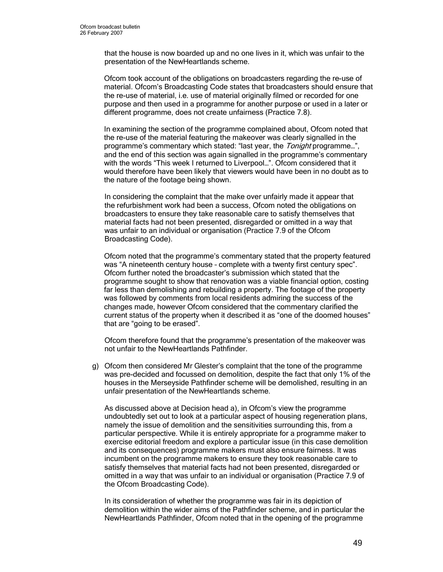that the house is now boarded up and no one lives in it, which was unfair to the presentation of the NewHeartlands scheme.

Ofcom took account of the obligations on broadcasters regarding the re-use of material. Ofcom's Broadcasting Code states that broadcasters should ensure that the re-use of material, i.e. use of material originally filmed or recorded for one purpose and then used in a programme for another purpose or used in a later or different programme, does not create unfairness (Practice 7.8).

In examining the section of the programme complained about, Ofcom noted that the re-use of the material featuring the makeover was clearly signalled in the programme's commentary which stated: "last year, the Tonight programme...", and the end of this section was again signalled in the programme's commentary with the words "This week I returned to Liverpool…". Ofcom considered that it would therefore have been likely that viewers would have been in no doubt as to the nature of the footage being shown.

In considering the complaint that the make over unfairly made it appear that the refurbishment work had been a success, Ofcom noted the obligations on broadcasters to ensure they take reasonable care to satisfy themselves that material facts had not been presented, disregarded or omitted in a way that was unfair to an individual or organisation (Practice 7.9 of the Ofcom Broadcasting Code).

Ofcom noted that the programme's commentary stated that the property featured was "A nineteenth century house – complete with a twenty first century spec". Ofcom further noted the broadcaster's submission which stated that the programme sought to show that renovation was a viable financial option, costing far less than demolishing and rebuilding a property. The footage of the property was followed by comments from local residents admiring the success of the changes made, however Ofcom considered that the commentary clarified the current status of the property when it described it as "one of the doomed houses" that are "going to be erased".

Ofcom therefore found that the programme's presentation of the makeover was not unfair to the NewHeartlands Pathfinder.

g) Ofcom then considered Mr Glester's complaint that the tone of the programme was pre-decided and focussed on demolition, despite the fact that only 1% of the houses in the Merseyside Pathfinder scheme will be demolished, resulting in an unfair presentation of the NewHeartlands scheme.

As discussed above at Decision head a), in Ofcom's view the programme undoubtedly set out to look at a particular aspect of housing regeneration plans, namely the issue of demolition and the sensitivities surrounding this, from a particular perspective. While it is entirely appropriate for a programme maker to exercise editorial freedom and explore a particular issue (in this case demolition and its consequences) programme makers must also ensure fairness. It was incumbent on the programme makers to ensure they took reasonable care to satisfy themselves that material facts had not been presented, disregarded or omitted in a way that was unfair to an individual or organisation (Practice 7.9 of the Ofcom Broadcasting Code).

In its consideration of whether the programme was fair in its depiction of demolition within the wider aims of the Pathfinder scheme, and in particular the NewHeartlands Pathfinder, Ofcom noted that in the opening of the programme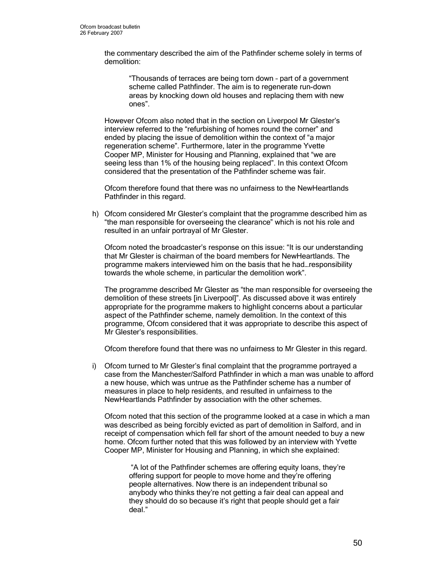the commentary described the aim of the Pathfinder scheme solely in terms of demolition:

"Thousands of terraces are being torn down – part of a government scheme called Pathfinder. The aim is to regenerate run-down areas by knocking down old houses and replacing them with new ones".

However Ofcom also noted that in the section on Liverpool Mr Glester's interview referred to the "refurbishing of homes round the corner" and ended by placing the issue of demolition within the context of "a major regeneration scheme". Furthermore, later in the programme Yvette Cooper MP, Minister for Housing and Planning, explained that "we are seeing less than 1% of the housing being replaced". In this context Ofcom considered that the presentation of the Pathfinder scheme was fair.

Ofcom therefore found that there was no unfairness to the NewHeartlands Pathfinder in this regard.

h) Ofcom considered Mr Glester's complaint that the programme described him as "the man responsible for overseeing the clearance" which is not his role and resulted in an unfair portrayal of Mr Glester.

Ofcom noted the broadcaster's response on this issue: "It is our understanding that Mr Glester is chairman of the board members for NewHeartlands. The programme makers interviewed him on the basis that he had…responsibility towards the whole scheme, in particular the demolition work".

The programme described Mr Glester as "the man responsible for overseeing the demolition of these streets [in Liverpool]". As discussed above it was entirely appropriate for the programme makers to highlight concerns about a particular aspect of the Pathfinder scheme, namely demolition. In the context of this programme, Ofcom considered that it was appropriate to describe this aspect of Mr Glester's responsibilities.

Ofcom therefore found that there was no unfairness to Mr Glester in this regard.

i) Ofcom turned to Mr Glester's final complaint that the programme portrayed a case from the Manchester/Salford Pathfinder in which a man was unable to afford a new house, which was untrue as the Pathfinder scheme has a number of measures in place to help residents, and resulted in unfairness to the NewHeartlands Pathfinder by association with the other schemes.

Ofcom noted that this section of the programme looked at a case in which a man was described as being forcibly evicted as part of demolition in Salford, and in receipt of compensation which fell far short of the amount needed to buy a new home. Ofcom further noted that this was followed by an interview with Yvette Cooper MP, Minister for Housing and Planning, in which she explained:

 "A lot of the Pathfinder schemes are offering equity loans, they're offering support for people to move home and they're offering people alternatives. Now there is an independent tribunal so anybody who thinks they're not getting a fair deal can appeal and they should do so because it's right that people should get a fair deal."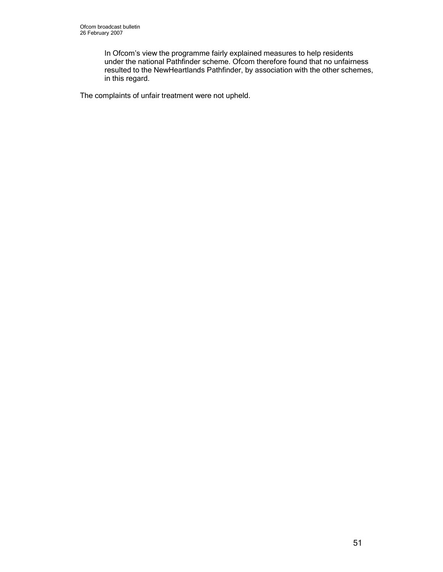In Ofcom's view the programme fairly explained measures to help residents under the national Pathfinder scheme. Ofcom therefore found that no unfairness resulted to the NewHeartlands Pathfinder, by association with the other schemes, in this regard.

The complaints of unfair treatment were not upheld.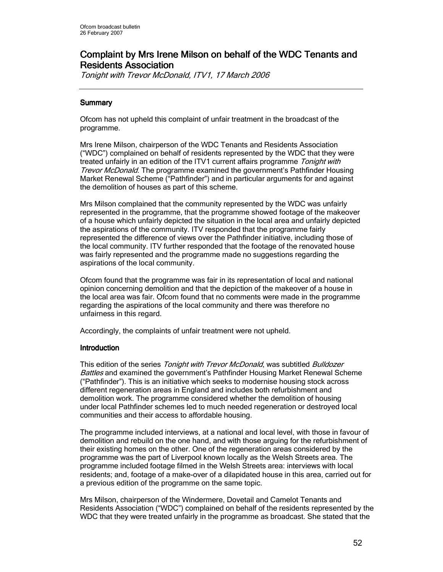# Complaint by Mrs Irene Milson on behalf of the WDC Tenants and **Residents Association**

Tonight with Trevor McDonald, ITV1, 17 March 2006

# **Summary**

Ofcom has not upheld this complaint of unfair treatment in the broadcast of the programme.

Mrs Irene Milson, chairperson of the WDC Tenants and Residents Association ("WDC") complained on behalf of residents represented by the WDC that they were treated unfairly in an edition of the ITV1 current affairs programme Tonight with Trevor McDonald. The programme examined the government's Pathfinder Housing Market Renewal Scheme ("Pathfinder") and in particular arguments for and against the demolition of houses as part of this scheme.

Mrs Milson complained that the community represented by the WDC was unfairly represented in the programme, that the programme showed footage of the makeover of a house which unfairly depicted the situation in the local area and unfairly depicted the aspirations of the community. ITV responded that the programme fairly represented the difference of views over the Pathfinder initiative, including those of the local community. ITV further responded that the footage of the renovated house was fairly represented and the programme made no suggestions regarding the aspirations of the local community.

Ofcom found that the programme was fair in its representation of local and national opinion concerning demolition and that the depiction of the makeover of a house in the local area was fair. Ofcom found that no comments were made in the programme regarding the aspirations of the local community and there was therefore no unfairness in this regard.

Accordingly, the complaints of unfair treatment were not upheld.

## **Introduction**

This edition of the series Tonight with Trevor McDonald, was subtitled Bulldozer Battles and examined the government's Pathfinder Housing Market Renewal Scheme ("Pathfinder"). This is an initiative which seeks to modernise housing stock across different regeneration areas in England and includes both refurbishment and demolition work. The programme considered whether the demolition of housing under local Pathfinder schemes led to much needed regeneration or destroyed local communities and their access to affordable housing.

The programme included interviews, at a national and local level, with those in favour of demolition and rebuild on the one hand, and with those arguing for the refurbishment of their existing homes on the other. One of the regeneration areas considered by the programme was the part of Liverpool known locally as the Welsh Streets area. The programme included footage filmed in the Welsh Streets area: interviews with local residents; and, footage of a make-over of a dilapidated house in this area, carried out for a previous edition of the programme on the same topic.

Mrs Milson, chairperson of the Windermere, Dovetail and Camelot Tenants and Residents Association ("WDC") complained on behalf of the residents represented by the WDC that they were treated unfairly in the programme as broadcast. She stated that the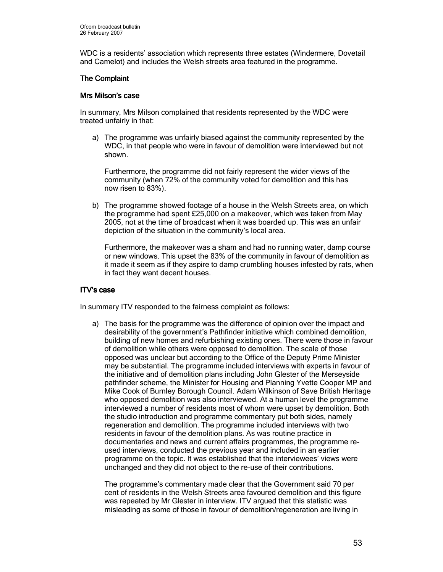WDC is a residents' association which represents three estates (Windermere, Dovetail and Camelot) and includes the Welsh streets area featured in the programme.

### **The Complaint**

### Mrs Milson's case

In summary, Mrs Milson complained that residents represented by the WDC were treated unfairly in that:

a) The programme was unfairly biased against the community represented by the WDC, in that people who were in favour of demolition were interviewed but not shown.

Furthermore, the programme did not fairly represent the wider views of the community (when 72% of the community voted for demolition and this has now risen to 83%).

b) The programme showed footage of a house in the Welsh Streets area, on which the programme had spent £25,000 on a makeover, which was taken from May 2005, not at the time of broadcast when it was boarded up. This was an unfair depiction of the situation in the community's local area.

Furthermore, the makeover was a sham and had no running water, damp course or new windows. This upset the 83% of the community in favour of demolition as it made it seem as if they aspire to damp crumbling houses infested by rats, when in fact they want decent houses.

### ITV's case

In summary ITV responded to the fairness complaint as follows:

a) The basis for the programme was the difference of opinion over the impact and desirability of the government's Pathfinder initiative which combined demolition, building of new homes and refurbishing existing ones. There were those in favour of demolition while others were opposed to demolition. The scale of those opposed was unclear but according to the Office of the Deputy Prime Minister may be substantial. The programme included interviews with experts in favour of the initiative and of demolition plans including John Glester of the Merseyside pathfinder scheme, the Minister for Housing and Planning Yvette Cooper MP and Mike Cook of Burnley Borough Council. Adam Wilkinson of Save British Heritage who opposed demolition was also interviewed. At a human level the programme interviewed a number of residents most of whom were upset by demolition. Both the studio introduction and programme commentary put both sides, namely regeneration and demolition. The programme included interviews with two residents in favour of the demolition plans. As was routine practice in documentaries and news and current affairs programmes, the programme reused interviews, conducted the previous year and included in an earlier programme on the topic. It was established that the interviewees' views were unchanged and they did not object to the re-use of their contributions.

The programme's commentary made clear that the Government said 70 per cent of residents in the Welsh Streets area favoured demolition and this figure was repeated by Mr Glester in interview. ITV argued that this statistic was misleading as some of those in favour of demolition/regeneration are living in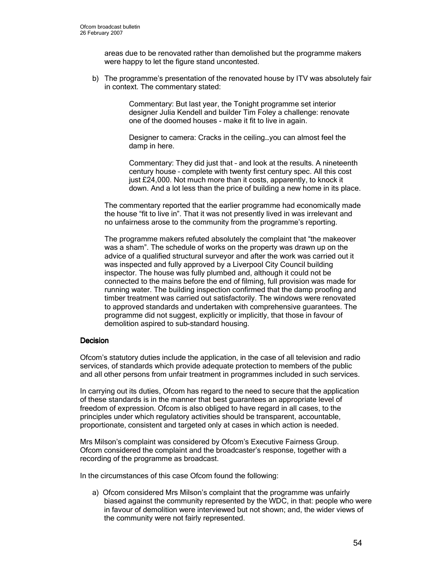areas due to be renovated rather than demolished but the programme makers were happy to let the figure stand uncontested.

b) The programme's presentation of the renovated house by ITV was absolutely fair in context. The commentary stated:

> Commentary: But last year, the Tonight programme set interior designer Julia Kendell and builder Tim Foley a challenge: renovate one of the doomed houses - make it fit to live in again.

Designer to camera: Cracks in the ceiling…you can almost feel the damp in here.

Commentary: They did just that – and look at the results. A nineteenth century house – complete with twenty first century spec. All this cost just £24,000. Not much more than it costs, apparently, to knock it down. And a lot less than the price of building a new home in its place.

The commentary reported that the earlier programme had economically made the house "fit to live in". That it was not presently lived in was irrelevant and no unfairness arose to the community from the programme's reporting.

The programme makers refuted absolutely the complaint that "the makeover was a sham". The schedule of works on the property was drawn up on the advice of a qualified structural surveyor and after the work was carried out it was inspected and fully approved by a Liverpool City Council building inspector. The house was fully plumbed and, although it could not be connected to the mains before the end of filming, full provision was made for running water. The building inspection confirmed that the damp proofing and timber treatment was carried out satisfactorily. The windows were renovated to approved standards and undertaken with comprehensive guarantees. The programme did not suggest, explicitly or implicitly, that those in favour of demolition aspired to sub-standard housing.

### **Decision**

Ofcom's statutory duties include the application, in the case of all television and radio services, of standards which provide adequate protection to members of the public and all other persons from unfair treatment in programmes included in such services.

In carrying out its duties, Ofcom has regard to the need to secure that the application of these standards is in the manner that best guarantees an appropriate level of freedom of expression. Ofcom is also obliged to have regard in all cases, to the principles under which regulatory activities should be transparent, accountable, proportionate, consistent and targeted only at cases in which action is needed.

Mrs Milson's complaint was considered by Ofcom's Executive Fairness Group. Ofcom considered the complaint and the broadcaster's response, together with a recording of the programme as broadcast.

In the circumstances of this case Ofcom found the following:

a) Ofcom considered Mrs Milson's complaint that the programme was unfairly biased against the community represented by the WDC, in that: people who were in favour of demolition were interviewed but not shown; and, the wider views of the community were not fairly represented.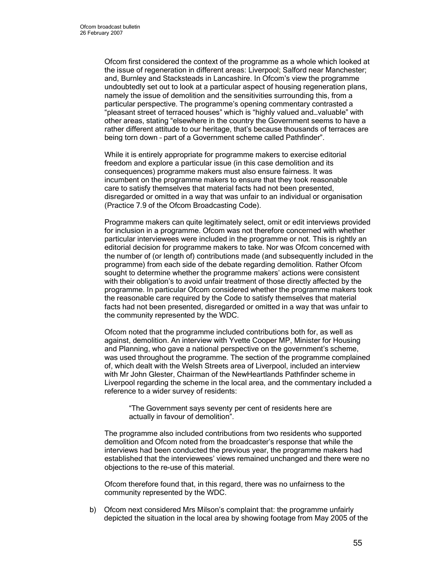Ofcom first considered the context of the programme as a whole which looked at the issue of regeneration in different areas: Liverpool; Salford near Manchester; and, Burnley and Stacksteads in Lancashire. In Ofcom's view the programme undoubtedly set out to look at a particular aspect of housing regeneration plans, namely the issue of demolition and the sensitivities surrounding this, from a particular perspective. The programme's opening commentary contrasted a "pleasant street of terraced houses" which is "highly valued and…valuable" with other areas, stating "elsewhere in the country the Government seems to have a rather different attitude to our heritage, that's because thousands of terraces are being torn down – part of a Government scheme called Pathfinder".

While it is entirely appropriate for programme makers to exercise editorial freedom and explore a particular issue (in this case demolition and its consequences) programme makers must also ensure fairness. It was incumbent on the programme makers to ensure that they took reasonable care to satisfy themselves that material facts had not been presented, disregarded or omitted in a way that was unfair to an individual or organisation (Practice 7.9 of the Ofcom Broadcasting Code).

Programme makers can quite legitimately select, omit or edit interviews provided for inclusion in a programme. Ofcom was not therefore concerned with whether particular interviewees were included in the programme or not. This is rightly an editorial decision for programme makers to take. Nor was Ofcom concerned with the number of (or length of) contributions made (and subsequently included in the programme) from each side of the debate regarding demolition. Rather Ofcom sought to determine whether the programme makers' actions were consistent with their obligation's to avoid unfair treatment of those directly affected by the programme. In particular Ofcom considered whether the programme makers took the reasonable care required by the Code to satisfy themselves that material facts had not been presented, disregarded or omitted in a way that was unfair to the community represented by the WDC.

Ofcom noted that the programme included contributions both for, as well as against, demolition. An interview with Yvette Cooper MP, Minister for Housing and Planning, who gave a national perspective on the government's scheme, was used throughout the programme. The section of the programme complained of, which dealt with the Welsh Streets area of Liverpool, included an interview with Mr John Glester, Chairman of the NewHeartlands Pathfinder scheme in Liverpool regarding the scheme in the local area, and the commentary included a reference to a wider survey of residents:

"The Government says seventy per cent of residents here are actually in favour of demolition".

The programme also included contributions from two residents who supported demolition and Ofcom noted from the broadcaster's response that while the interviews had been conducted the previous year, the programme makers had established that the interviewees' views remained unchanged and there were no objections to the re-use of this material.

Ofcom therefore found that, in this regard, there was no unfairness to the community represented by the WDC.

b) Ofcom next considered Mrs Milson's complaint that: the programme unfairly depicted the situation in the local area by showing footage from May 2005 of the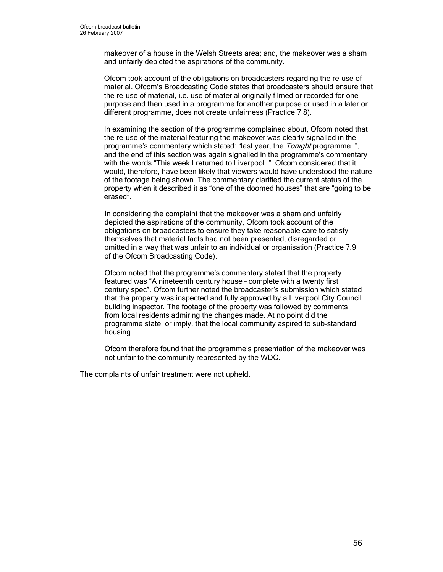makeover of a house in the Welsh Streets area; and, the makeover was a sham and unfairly depicted the aspirations of the community.

Ofcom took account of the obligations on broadcasters regarding the re-use of material. Ofcom's Broadcasting Code states that broadcasters should ensure that the re-use of material, i.e. use of material originally filmed or recorded for one purpose and then used in a programme for another purpose or used in a later or different programme, does not create unfairness (Practice 7.8).

In examining the section of the programme complained about, Ofcom noted that the re-use of the material featuring the makeover was clearly signalled in the programme's commentary which stated: "last year, the Tonight programme...", and the end of this section was again signalled in the programme's commentary with the words "This week I returned to Liverpool…". Ofcom considered that it would, therefore, have been likely that viewers would have understood the nature of the footage being shown. The commentary clarified the current status of the property when it described it as "one of the doomed houses" that are "going to be erased".

In considering the complaint that the makeover was a sham and unfairly depicted the aspirations of the community, Ofcom took account of the obligations on broadcasters to ensure they take reasonable care to satisfy themselves that material facts had not been presented, disregarded or omitted in a way that was unfair to an individual or organisation (Practice 7.9 of the Ofcom Broadcasting Code).

Ofcom noted that the programme's commentary stated that the property featured was "A nineteenth century house – complete with a twenty first century spec". Ofcom further noted the broadcaster's submission which stated that the property was inspected and fully approved by a Liverpool City Council building inspector. The footage of the property was followed by comments from local residents admiring the changes made. At no point did the programme state, or imply, that the local community aspired to sub-standard housing.

Ofcom therefore found that the programme's presentation of the makeover was not unfair to the community represented by the WDC.

The complaints of unfair treatment were not upheld.